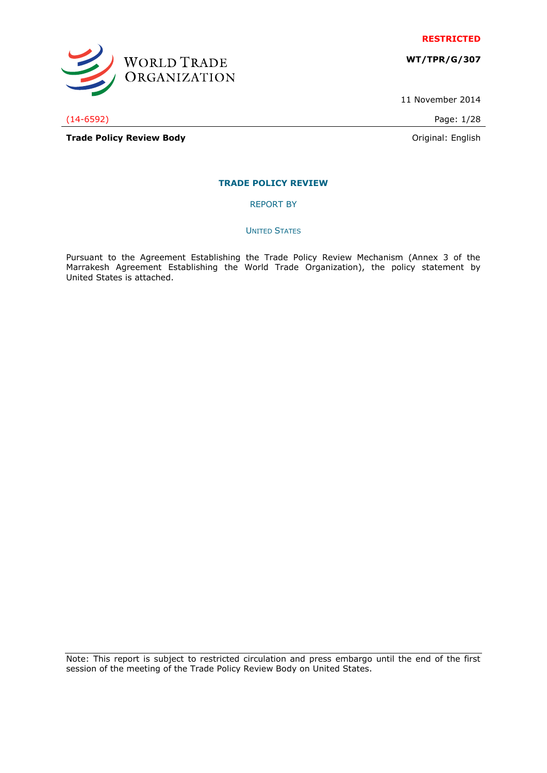

**WT/TPR/G/307**

11 November 2014

(14-6592) Page: 1/28

WORLD TRADE<br>ORGANIZATION

**Trade Policy Review Body Contract Contract Contract Contract Contract Contract Contract Contract Contract Contract Contract Contract Contract Contract Contract Contract Contract Contract Contract Contract Contract Contr** 

# **TRADE POLICY REVIEW**

REPORT BY

UNITED STATES

Pursuant to the Agreement Establishing the Trade Policy Review Mechanism (Annex 3 of the Marrakesh Agreement Establishing the World Trade Organization), the policy statement by United States is attached.

Note: This report is subject to restricted circulation and press embargo until the end of the first session of the meeting of the Trade Policy Review Body on United States.

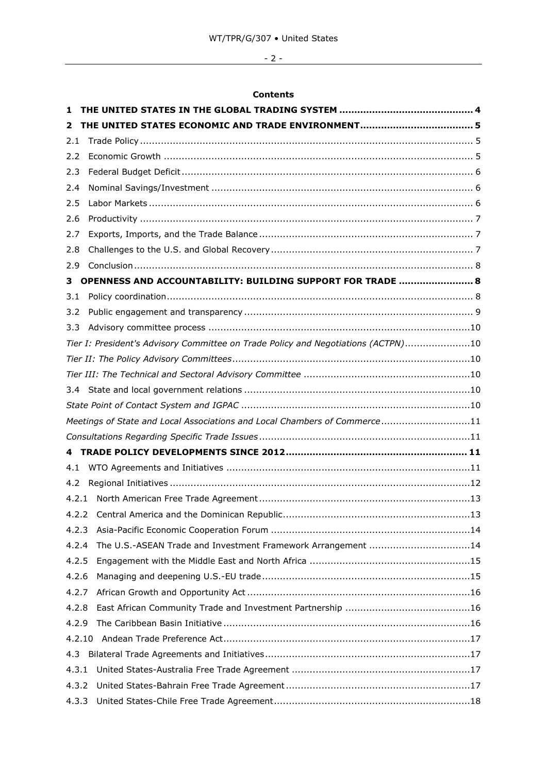# - 2 -

# **Contents**

| 1      |                                                                                   |
|--------|-----------------------------------------------------------------------------------|
| 2      |                                                                                   |
| 2.1    |                                                                                   |
| 2.2    |                                                                                   |
| 2.3    |                                                                                   |
| 2.4    |                                                                                   |
| 2.5    |                                                                                   |
| 2.6    |                                                                                   |
| 2.7    |                                                                                   |
| 2.8    |                                                                                   |
| 2.9    |                                                                                   |
| з      | OPENNESS AND ACCOUNTABILITY: BUILDING SUPPORT FOR TRADE  8                        |
| 3.1    |                                                                                   |
| 3.2    |                                                                                   |
| 3.3    |                                                                                   |
|        | Tier I: President's Advisory Committee on Trade Policy and Negotiations (ACTPN)10 |
|        |                                                                                   |
|        |                                                                                   |
| 3.4    |                                                                                   |
|        |                                                                                   |
|        | Meetings of State and Local Associations and Local Chambers of Commerce11         |
|        |                                                                                   |
|        |                                                                                   |
| 4.1    |                                                                                   |
| 4.2    |                                                                                   |
| 4.2.1  |                                                                                   |
|        |                                                                                   |
| 4.2.3  |                                                                                   |
| 4.2.4  | The U.S.-ASEAN Trade and Investment Framework Arrangement 14                      |
| 4.2.5  |                                                                                   |
| 4.2.6  |                                                                                   |
| 4.2.7  |                                                                                   |
| 4.2.8  |                                                                                   |
| 4.2.9  |                                                                                   |
| 4.2.10 |                                                                                   |
| 4.3    |                                                                                   |
| 4.3.1  |                                                                                   |
| 4.3.2  |                                                                                   |
| 4.3.3  |                                                                                   |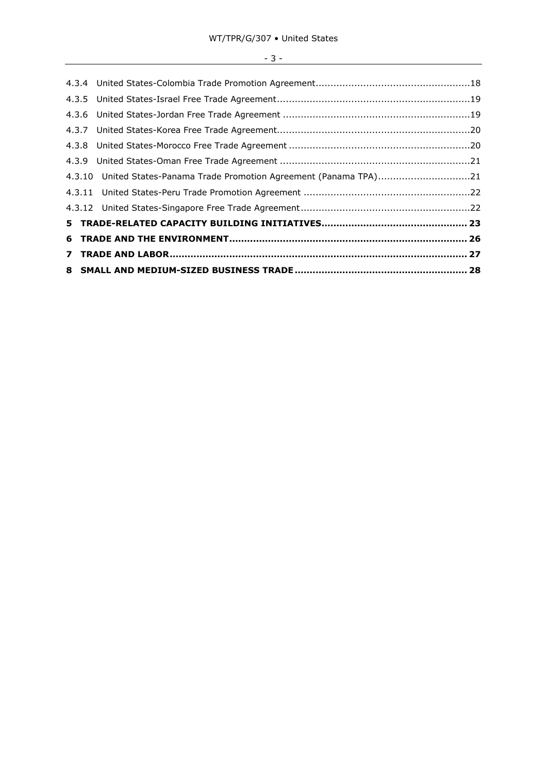# $-3 -$

| 4.3.10 United States-Panama Trade Promotion Agreement (Panama TPA)21 |  |
|----------------------------------------------------------------------|--|
|                                                                      |  |
|                                                                      |  |
|                                                                      |  |
|                                                                      |  |
|                                                                      |  |
|                                                                      |  |
|                                                                      |  |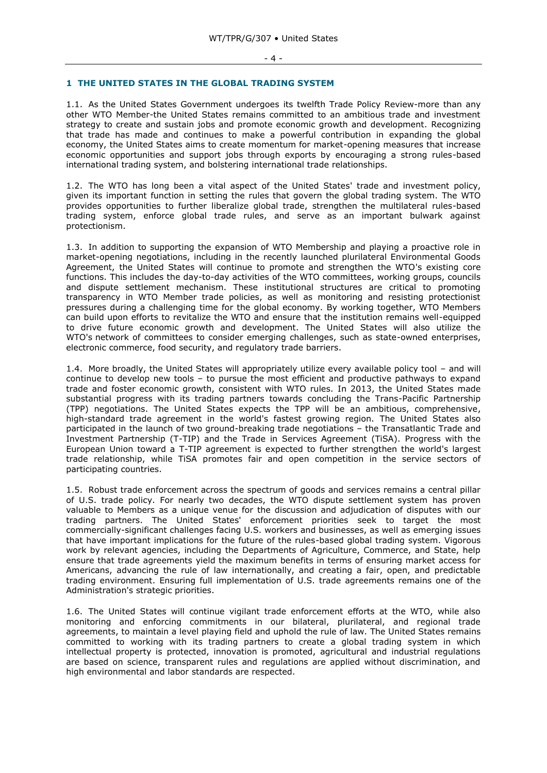#### <span id="page-3-0"></span>**1 THE UNITED STATES IN THE GLOBAL TRADING SYSTEM**

1.1. As the United States Government undergoes its twelfth Trade Policy Review-more than any other WTO Member-the United States remains committed to an ambitious trade and investment strategy to create and sustain jobs and promote economic growth and development. Recognizing that trade has made and continues to make a powerful contribution in expanding the global economy, the United States aims to create momentum for market-opening measures that increase economic opportunities and support jobs through exports by encouraging a strong rules-based international trading system, and bolstering international trade relationships.

1.2. The WTO has long been a vital aspect of the United States' trade and investment policy, given its important function in setting the rules that govern the global trading system. The WTO provides opportunities to further liberalize global trade, strengthen the multilateral rules-based trading system, enforce global trade rules, and serve as an important bulwark against protectionism.

1.3. In addition to supporting the expansion of WTO Membership and playing a proactive role in market-opening negotiations, including in the recently launched plurilateral Environmental Goods Agreement, the United States will continue to promote and strengthen the WTO's existing core functions. This includes the day-to-day activities of the WTO committees, working groups, councils and dispute settlement mechanism. These institutional structures are critical to promoting transparency in WTO Member trade policies, as well as monitoring and resisting protectionist pressures during a challenging time for the global economy. By working together, WTO Members can build upon efforts to revitalize the WTO and ensure that the institution remains well-equipped to drive future economic growth and development. The United States will also utilize the WTO's network of committees to consider emerging challenges, such as state-owned enterprises, electronic commerce, food security, and regulatory trade barriers.

1.4. More broadly, the United States will appropriately utilize every available policy tool – and will continue to develop new tools – to pursue the most efficient and productive pathways to expand trade and foster economic growth, consistent with WTO rules. In 2013, the United States made substantial progress with its trading partners towards concluding the Trans-Pacific Partnership (TPP) negotiations. The United States expects the TPP will be an ambitious, comprehensive, high-standard trade agreement in the world's fastest growing region. The United States also participated in the launch of two ground-breaking trade negotiations – the Transatlantic Trade and Investment Partnership (T-TIP) and the Trade in Services Agreement (TiSA). Progress with the European Union toward a T-TIP agreement is expected to further strengthen the world's largest trade relationship, while TiSA promotes fair and open competition in the service sectors of participating countries.

1.5. Robust trade enforcement across the spectrum of goods and services remains a central pillar of U.S. trade policy. For nearly two decades, the WTO dispute settlement system has proven valuable to Members as a unique venue for the discussion and adjudication of disputes with our trading partners. The United States' enforcement priorities seek to target the most commercially-significant challenges facing U.S. workers and businesses, as well as emerging issues that have important implications for the future of the rules-based global trading system. Vigorous work by relevant agencies, including the Departments of Agriculture, Commerce, and State, help ensure that trade agreements yield the maximum benefits in terms of ensuring market access for Americans, advancing the rule of law internationally, and creating a fair, open, and predictable trading environment. Ensuring full implementation of U.S. trade agreements remains one of the Administration's strategic priorities.

1.6. The United States will continue vigilant trade enforcement efforts at the WTO, while also monitoring and enforcing commitments in our bilateral, plurilateral, and regional trade agreements, to maintain a level playing field and uphold the rule of law. The United States remains committed to working with its trading partners to create a global trading system in which intellectual property is protected, innovation is promoted, agricultural and industrial regulations are based on science, transparent rules and regulations are applied without discrimination, and high environmental and labor standards are respected.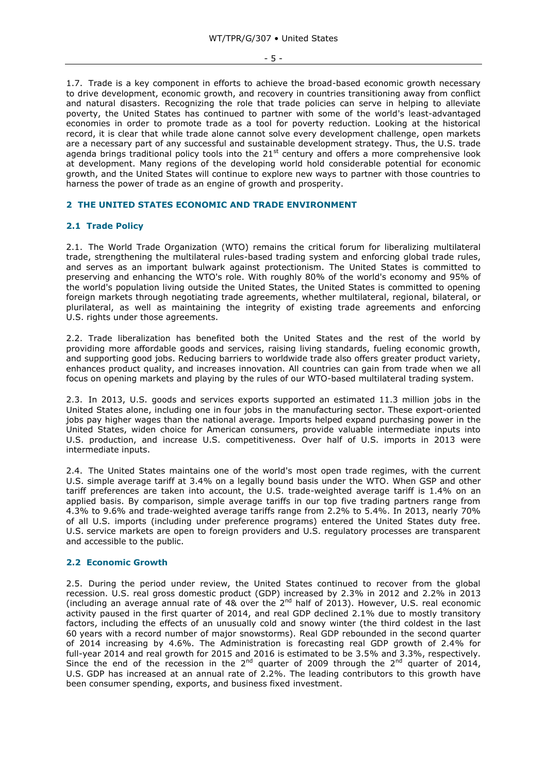1.7. Trade is a key component in efforts to achieve the broad-based economic growth necessary to drive development, economic growth, and recovery in countries transitioning away from conflict and natural disasters. Recognizing the role that trade policies can serve in helping to alleviate poverty, the United States has continued to partner with some of the world's least-advantaged economies in order to promote trade as a tool for poverty reduction. Looking at the historical record, it is clear that while trade alone cannot solve every development challenge, open markets are a necessary part of any successful and sustainable development strategy. Thus, the U.S. trade agenda brings traditional policy tools into the  $21<sup>st</sup>$  century and offers a more comprehensive look at development. Many regions of the developing world hold considerable potential for economic growth, and the United States will continue to explore new ways to partner with those countries to harness the power of trade as an engine of growth and prosperity.

#### <span id="page-4-0"></span>**2 THE UNITED STATES ECONOMIC AND TRADE ENVIRONMENT**

# <span id="page-4-1"></span>**2.1 Trade Policy**

2.1. The World Trade Organization (WTO) remains the critical forum for liberalizing multilateral trade, strengthening the multilateral rules-based trading system and enforcing global trade rules, and serves as an important bulwark against protectionism. The United States is committed to preserving and enhancing the WTO's role. With roughly 80% of the world's economy and 95% of the world's population living outside the United States, the United States is committed to opening foreign markets through negotiating trade agreements, whether multilateral, regional, bilateral, or plurilateral, as well as maintaining the integrity of existing trade agreements and enforcing U.S. rights under those agreements.

2.2. Trade liberalization has benefited both the United States and the rest of the world by providing more affordable goods and services, raising living standards, fueling economic growth, and supporting good jobs. Reducing barriers to worldwide trade also offers greater product variety, enhances product quality, and increases innovation. All countries can gain from trade when we all focus on opening markets and playing by the rules of our WTO-based multilateral trading system.

2.3. In 2013, U.S. goods and services exports supported an estimated 11.3 million jobs in the United States alone, including one in four jobs in the manufacturing sector. These export-oriented jobs pay higher wages than the national average. Imports helped expand purchasing power in the United States, widen choice for American consumers, provide valuable intermediate inputs into U.S. production, and increase U.S. competitiveness. Over half of U.S. imports in 2013 were intermediate inputs.

2.4. The United States maintains one of the world's most open trade regimes, with the current U.S. simple average tariff at 3.4% on a legally bound basis under the WTO. When GSP and other tariff preferences are taken into account, the U.S. trade-weighted average tariff is 1.4% on an applied basis. By comparison, simple average tariffs in our top five trading partners range from 4.3% to 9.6% and trade-weighted average tariffs range from 2.2% to 5.4%. In 2013, nearly 70% of all U.S. imports (including under preference programs) entered the United States duty free. U.S. service markets are open to foreign providers and U.S. regulatory processes are transparent and accessible to the public.

#### <span id="page-4-2"></span>**2.2 Economic Growth**

2.5. During the period under review, the United States continued to recover from the global recession. U.S. real gross domestic product (GDP) increased by 2.3% in 2012 and 2.2% in 2013 (including an average annual rate of 4& over the  $2<sup>nd</sup>$  half of 2013). However, U.S. real economic activity paused in the first quarter of 2014, and real GDP declined 2.1% due to mostly transitory factors, including the effects of an unusually cold and snowy winter (the third coldest in the last 60 years with a record number of major snowstorms). Real GDP rebounded in the second quarter of 2014 increasing by 4.6%. The Administration is forecasting real GDP growth of 2.4% for full-year 2014 and real growth for 2015 and 2016 is estimated to be 3.5% and 3.3%, respectively. Since the end of the recession in the 2<sup>nd</sup> quarter of 2009 through the 2<sup>nd</sup> quarter of 2014, U.S. GDP has increased at an annual rate of 2.2%. The leading contributors to this growth have been consumer spending, exports, and business fixed investment.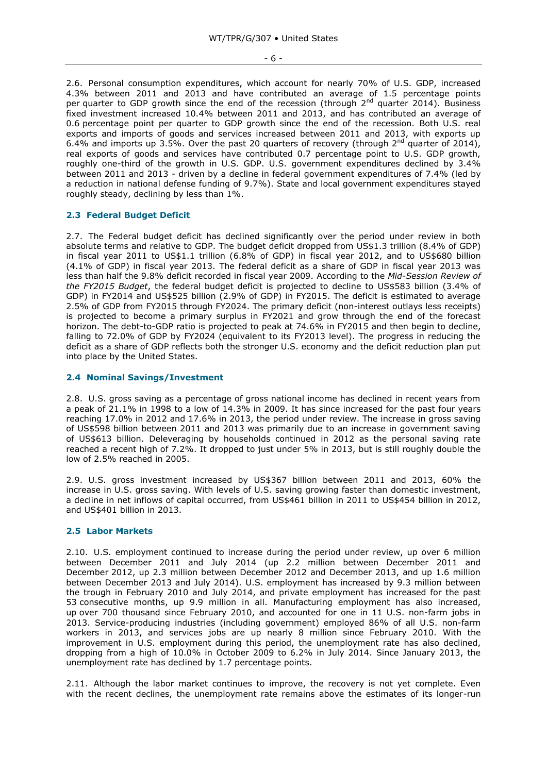- 6 -

2.6. Personal consumption expenditures, which account for nearly 70% of U.S. GDP, increased 4.3% between 2011 and 2013 and have contributed an average of 1.5 percentage points per quarter to GDP growth since the end of the recession (through  $2^{nd}$  quarter 2014). Business fixed investment increased 10.4% between 2011 and 2013, and has contributed an average of 0.6 percentage point per quarter to GDP growth since the end of the recession. Both U.S. real exports and imports of goods and services increased between 2011 and 2013, with exports up 6.4% and imports up 3.5%. Over the past 20 quarters of recovery (through  $2^{nd}$  quarter of 2014), real exports of goods and services have contributed 0.7 percentage point to U.S. GDP growth, roughly one-third of the growth in U.S. GDP. U.S. government expenditures declined by 3.4% between 2011 and 2013 - driven by a decline in federal government expenditures of 7.4% (led by a reduction in national defense funding of 9.7%). State and local government expenditures stayed roughly steady, declining by less than 1%.

# <span id="page-5-0"></span>**2.3 Federal Budget Deficit**

2.7. The Federal budget deficit has declined significantly over the period under review in both absolute terms and relative to GDP. The budget deficit dropped from US\$1.3 trillion (8.4% of GDP) in fiscal year 2011 to US\$1.1 trillion (6.8% of GDP) in fiscal year 2012, and to US\$680 billion (4.1% of GDP) in fiscal year 2013. The federal deficit as a share of GDP in fiscal year 2013 was less than half the 9.8% deficit recorded in fiscal year 2009. According to the *Mid-Session Review of the FY2015 Budget*, the federal budget deficit is projected to decline to US\$583 billion (3.4% of GDP) in FY2014 and US\$525 billion (2.9% of GDP) in FY2015. The deficit is estimated to average 2.5% of GDP from FY2015 through FY2024. The primary deficit (non-interest outlays less receipts) is projected to become a primary surplus in FY2021 and grow through the end of the forecast horizon. The debt-to-GDP ratio is projected to peak at 74.6% in FY2015 and then begin to decline, falling to 72.0% of GDP by FY2024 (equivalent to its FY2013 level). The progress in reducing the deficit as a share of GDP reflects both the stronger U.S. economy and the deficit reduction plan put into place by the United States.

## <span id="page-5-1"></span>**2.4 Nominal Savings/Investment**

2.8. U.S. gross saving as a percentage of gross national income has declined in recent years from a peak of 21.1% in 1998 to a low of 14.3% in 2009. It has since increased for the past four years reaching 17.0% in 2012 and 17.6% in 2013, the period under review. The increase in gross saving of US\$598 billion between 2011 and 2013 was primarily due to an increase in government saving of US\$613 billion. Deleveraging by households continued in 2012 as the personal saving rate reached a recent high of 7.2%. It dropped to just under 5% in 2013, but is still roughly double the low of 2.5% reached in 2005.

2.9. U.S. gross investment increased by US\$367 billion between 2011 and 2013, 60% the increase in U.S. gross saving. With levels of U.S. saving growing faster than domestic investment, a decline in net inflows of capital occurred, from US\$461 billion in 2011 to US\$454 billion in 2012, and US\$401 billion in 2013.

# <span id="page-5-2"></span>**2.5 Labor Markets**

2.10. U.S. employment continued to increase during the period under review, up over 6 million between December 2011 and July 2014 (up 2.2 million between December 2011 and December 2012, up 2.3 million between December 2012 and December 2013, and up 1.6 million between December 2013 and July 2014). U.S. employment has increased by 9.3 million between the trough in February 2010 and July 2014, and private employment has increased for the past 53 consecutive months, up 9.9 million in all. Manufacturing employment has also increased, up over 700 thousand since February 2010, and accounted for one in 11 U.S. non-farm jobs in 2013. Service-producing industries (including government) employed 86% of all U.S. non-farm workers in 2013, and services jobs are up nearly 8 million since February 2010. With the improvement in U.S. employment during this period, the unemployment rate has also declined, dropping from a high of 10.0% in October 2009 to 6.2% in July 2014. Since January 2013, the unemployment rate has declined by 1.7 percentage points.

2.11. Although the labor market continues to improve, the recovery is not yet complete. Even with the recent declines, the unemployment rate remains above the estimates of its longer-run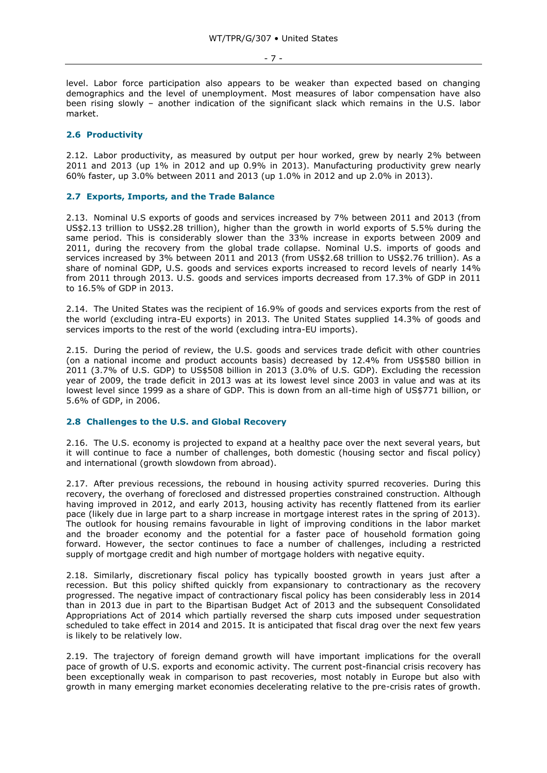level. Labor force participation also appears to be weaker than expected based on changing demographics and the level of unemployment. Most measures of labor compensation have also been rising slowly – another indication of the significant slack which remains in the U.S. labor market.

## <span id="page-6-0"></span>**2.6 Productivity**

2.12. Labor productivity, as measured by output per hour worked, grew by nearly 2% between 2011 and 2013 (up 1% in 2012 and up 0.9% in 2013). Manufacturing productivity grew nearly 60% faster, up 3.0% between 2011 and 2013 (up 1.0% in 2012 and up 2.0% in 2013).

#### <span id="page-6-1"></span>**2.7 Exports, Imports, and the Trade Balance**

2.13. Nominal U.S exports of goods and services increased by 7% between 2011 and 2013 (from US\$2.13 trillion to US\$2.28 trillion), higher than the growth in world exports of 5.5% during the same period. This is considerably slower than the 33% increase in exports between 2009 and 2011, during the recovery from the global trade collapse. Nominal U.S. imports of goods and services increased by 3% between 2011 and 2013 (from US\$2.68 trillion to US\$2.76 trillion). As a share of nominal GDP, U.S. goods and services exports increased to record levels of nearly 14% from 2011 through 2013. U.S. goods and services imports decreased from 17.3% of GDP in 2011 to 16.5% of GDP in 2013.

2.14. The United States was the recipient of 16.9% of goods and services exports from the rest of the world (excluding intra-EU exports) in 2013. The United States supplied 14.3% of goods and services imports to the rest of the world (excluding intra-EU imports).

2.15. During the period of review, the U.S. goods and services trade deficit with other countries (on a national income and product accounts basis) decreased by 12.4% from US\$580 billion in 2011 (3.7% of U.S. GDP) to US\$508 billion in 2013 (3.0% of U.S. GDP). Excluding the recession year of 2009, the trade deficit in 2013 was at its lowest level since 2003 in value and was at its lowest level since 1999 as a share of GDP. This is down from an all-time high of US\$771 billion, or 5.6% of GDP, in 2006.

#### <span id="page-6-2"></span>**2.8 Challenges to the U.S. and Global Recovery**

2.16. The U.S. economy is projected to expand at a healthy pace over the next several years, but it will continue to face a number of challenges, both domestic (housing sector and fiscal policy) and international (growth slowdown from abroad).

2.17. After previous recessions, the rebound in housing activity spurred recoveries. During this recovery, the overhang of foreclosed and distressed properties constrained construction. Although having improved in 2012, and early 2013, housing activity has recently flattened from its earlier pace (likely due in large part to a sharp increase in mortgage interest rates in the spring of 2013). The outlook for housing remains favourable in light of improving conditions in the labor market and the broader economy and the potential for a faster pace of household formation going forward. However, the sector continues to face a number of challenges, including a restricted supply of mortgage credit and high number of mortgage holders with negative equity.

2.18. Similarly, discretionary fiscal policy has typically boosted growth in years just after a recession. But this policy shifted quickly from expansionary to contractionary as the recovery progressed. The negative impact of contractionary fiscal policy has been considerably less in 2014 than in 2013 due in part to the Bipartisan Budget Act of 2013 and the subsequent Consolidated Appropriations Act of 2014 which partially reversed the sharp cuts imposed under sequestration scheduled to take effect in 2014 and 2015. It is anticipated that fiscal drag over the next few years is likely to be relatively low.

2.19. The trajectory of foreign demand growth will have important implications for the overall pace of growth of U.S. exports and economic activity. The current post-financial crisis recovery has been exceptionally weak in comparison to past recoveries, most notably in Europe but also with growth in many emerging market economies decelerating relative to the pre-crisis rates of growth.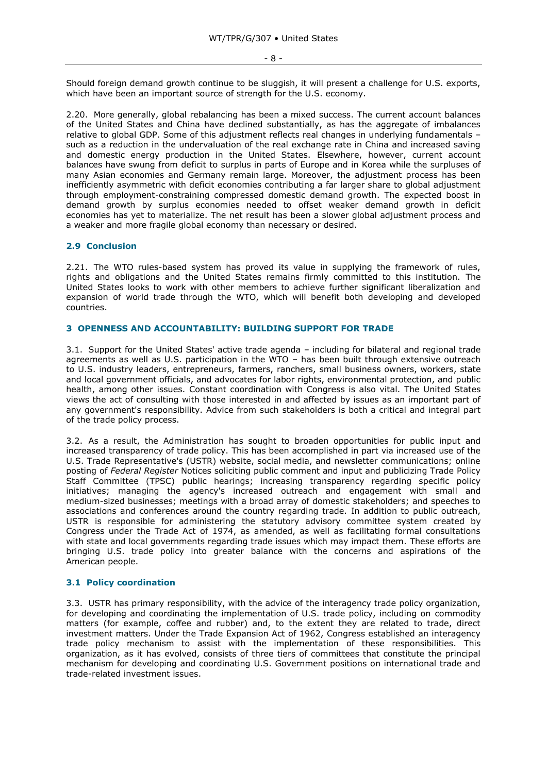Should foreign demand growth continue to be sluggish, it will present a challenge for U.S. exports, which have been an important source of strength for the U.S. economy.

2.20. More generally, global rebalancing has been a mixed success. The current account balances of the United States and China have declined substantially, as has the aggregate of imbalances relative to global GDP. Some of this adjustment reflects real changes in underlying fundamentals – such as a reduction in the undervaluation of the real exchange rate in China and increased saving and domestic energy production in the United States. Elsewhere, however, current account balances have swung from deficit to surplus in parts of Europe and in Korea while the surpluses of many Asian economies and Germany remain large. Moreover, the adjustment process has been inefficiently asymmetric with deficit economies contributing a far larger share to global adjustment through employment-constraining compressed domestic demand growth. The expected boost in demand growth by surplus economies needed to offset weaker demand growth in deficit economies has yet to materialize. The net result has been a slower global adjustment process and a weaker and more fragile global economy than necessary or desired.

## <span id="page-7-0"></span>**2.9 Conclusion**

2.21. The WTO rules-based system has proved its value in supplying the framework of rules, rights and obligations and the United States remains firmly committed to this institution. The United States looks to work with other members to achieve further significant liberalization and expansion of world trade through the WTO, which will benefit both developing and developed countries.

# <span id="page-7-1"></span>**3 OPENNESS AND ACCOUNTABILITY: BUILDING SUPPORT FOR TRADE**

3.1. Support for the United States' active trade agenda – including for bilateral and regional trade agreements as well as U.S. participation in the WTO – has been built through extensive outreach to U.S. industry leaders, entrepreneurs, farmers, ranchers, small business owners, workers, state and local government officials, and advocates for labor rights, environmental protection, and public health, among other issues. Constant coordination with Congress is also vital. The United States views the act of consulting with those interested in and affected by issues as an important part of any government's responsibility. Advice from such stakeholders is both a critical and integral part of the trade policy process.

3.2. As a result, the Administration has sought to broaden opportunities for public input and increased transparency of trade policy. This has been accomplished in part via increased use of the U.S. Trade Representative's (USTR) website, social media, and newsletter communications; online posting of *Federal Register* Notices soliciting public comment and input and publicizing Trade Policy Staff Committee (TPSC) public hearings; increasing transparency regarding specific policy initiatives; managing the agency's increased outreach and engagement with small and medium-sized businesses; meetings with a broad array of domestic stakeholders; and speeches to associations and conferences around the country regarding trade. In addition to public outreach, USTR is responsible for administering the statutory advisory committee system created by Congress under the Trade Act of 1974, as amended, as well as facilitating formal consultations with state and local governments regarding trade issues which may impact them. These efforts are bringing U.S. trade policy into greater balance with the concerns and aspirations of the American people.

#### <span id="page-7-2"></span>**3.1 Policy coordination**

3.3. USTR has primary responsibility, with the advice of the interagency trade policy organization, for developing and coordinating the implementation of U.S. trade policy, including on commodity matters (for example, coffee and rubber) and, to the extent they are related to trade, direct investment matters. Under the Trade Expansion Act of 1962, Congress established an interagency trade policy mechanism to assist with the implementation of these responsibilities. This organization, as it has evolved, consists of three tiers of committees that constitute the principal mechanism for developing and coordinating U.S. Government positions on international trade and trade-related investment issues.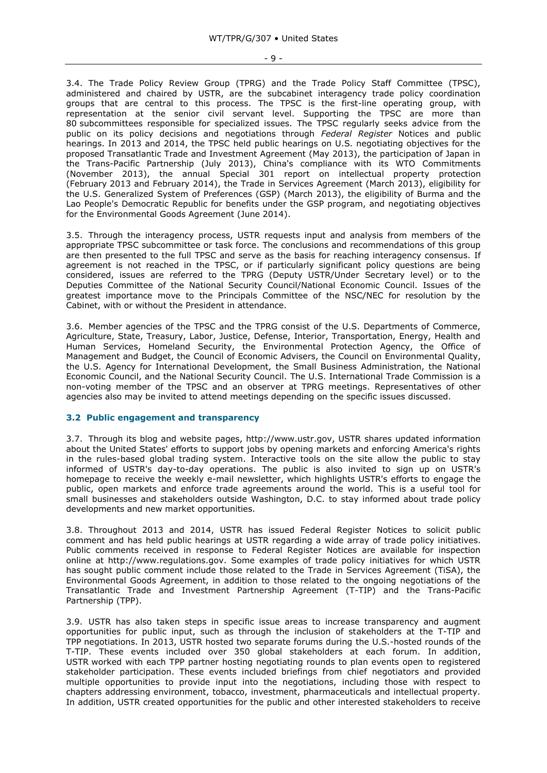3.4. The Trade Policy Review Group (TPRG) and the Trade Policy Staff Committee (TPSC), administered and chaired by USTR, are the subcabinet interagency trade policy coordination groups that are central to this process. The TPSC is the first-line operating group, with representation at the senior civil servant level. Supporting the TPSC are more than 80 subcommittees responsible for specialized issues. The TPSC regularly seeks advice from the public on its policy decisions and negotiations through *Federal Register* Notices and public hearings. In 2013 and 2014, the TPSC held public hearings on U.S. negotiating objectives for the proposed Transatlantic Trade and Investment Agreement (May 2013), the participation of Japan in the Trans-Pacific Partnership (July 2013), China's compliance with its WTO Commitments (November 2013), the annual Special 301 report on intellectual property protection (February 2013 and February 2014), the Trade in Services Agreement (March 2013), eligibility for the U.S. Generalized System of Preferences (GSP) (March 2013), the eligibility of Burma and the Lao People's Democratic Republic for benefits under the GSP program, and negotiating objectives for the Environmental Goods Agreement (June 2014).

3.5. Through the interagency process, USTR requests input and analysis from members of the appropriate TPSC subcommittee or task force. The conclusions and recommendations of this group are then presented to the full TPSC and serve as the basis for reaching interagency consensus. If agreement is not reached in the TPSC, or if particularly significant policy questions are being considered, issues are referred to the TPRG (Deputy USTR/Under Secretary level) or to the Deputies Committee of the National Security Council/National Economic Council. Issues of the greatest importance move to the Principals Committee of the NSC/NEC for resolution by the Cabinet, with or without the President in attendance.

3.6. Member agencies of the TPSC and the TPRG consist of the U.S. Departments of Commerce, Agriculture, State, Treasury, Labor, Justice, Defense, Interior, Transportation, Energy, Health and Human Services, Homeland Security, the Environmental Protection Agency, the Office of Management and Budget, the Council of Economic Advisers, the Council on Environmental Quality, the U.S. Agency for International Development, the Small Business Administration, the National Economic Council, and the National Security Council. The U.S. International Trade Commission is a non-voting member of the TPSC and an observer at TPRG meetings. Representatives of other agencies also may be invited to attend meetings depending on the specific issues discussed.

# <span id="page-8-0"></span>**3.2 Public engagement and transparency**

3.7. Through its blog and website pages, http://www.ustr.gov, USTR shares updated information about the United States' efforts to support jobs by opening markets and enforcing America's rights in the rules-based global trading system. Interactive tools on the site allow the public to stay informed of USTR's day-to-day operations. The public is also invited to sign up on USTR's homepage to receive the weekly e-mail newsletter, which highlights USTR's efforts to engage the public, open markets and enforce trade agreements around the world. This is a useful tool for small businesses and stakeholders outside Washington, D.C. to stay informed about trade policy developments and new market opportunities.

3.8. Throughout 2013 and 2014, USTR has issued Federal Register Notices to solicit public comment and has held public hearings at USTR regarding a wide array of trade policy initiatives. Public comments received in response to Federal Register Notices are available for inspection online at http://www.regulations.gov. Some examples of trade policy initiatives for which USTR has sought public comment include those related to the Trade in Services Agreement (TiSA), the Environmental Goods Agreement, in addition to those related to the ongoing negotiations of the Transatlantic Trade and Investment Partnership Agreement (T-TIP) and the Trans-Pacific Partnership (TPP).

3.9. USTR has also taken steps in specific issue areas to increase transparency and augment opportunities for public input, such as through the inclusion of stakeholders at the T-TIP and TPP negotiations. In 2013, USTR hosted two separate forums during the U.S.-hosted rounds of the T-TIP. These events included over 350 global stakeholders at each forum. In addition, USTR worked with each TPP partner hosting negotiating rounds to plan events open to registered stakeholder participation. These events included briefings from chief negotiators and provided multiple opportunities to provide input into the negotiations, including those with respect to chapters addressing environment, tobacco, investment, pharmaceuticals and intellectual property. In addition, USTR created opportunities for the public and other interested stakeholders to receive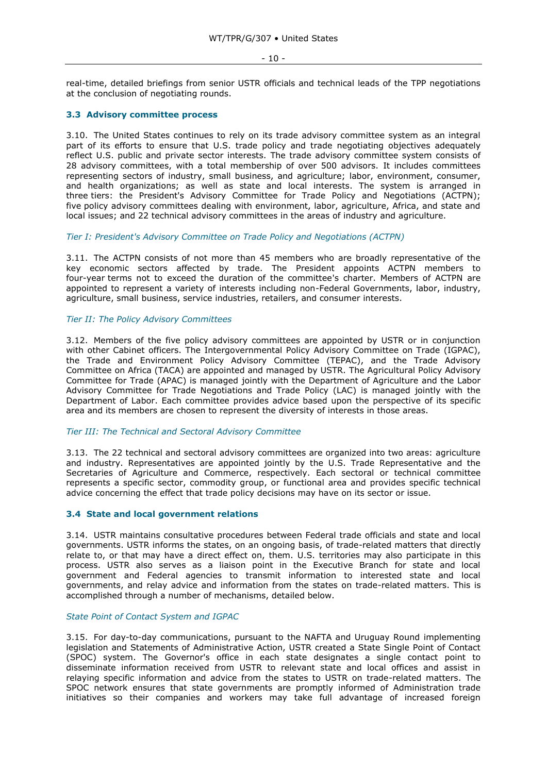#### - 10 -

real-time, detailed briefings from senior USTR officials and technical leads of the TPP negotiations at the conclusion of negotiating rounds.

# <span id="page-9-0"></span>**3.3 Advisory committee process**

3.10. The United States continues to rely on its trade advisory committee system as an integral part of its efforts to ensure that U.S. trade policy and trade negotiating objectives adequately reflect U.S. public and private sector interests. The trade advisory committee system consists of 28 advisory committees, with a total membership of over 500 advisors. It includes committees representing sectors of industry, small business, and agriculture; labor, environment, consumer, and health organizations; as well as state and local interests. The system is arranged in three tiers: the President's Advisory Committee for Trade Policy and Negotiations (ACTPN); five policy advisory committees dealing with environment, labor, agriculture, Africa, and state and local issues; and 22 technical advisory committees in the areas of industry and agriculture.

<span id="page-9-1"></span>*Tier I: President's Advisory Committee on Trade Policy and Negotiations (ACTPN)*

3.11. The ACTPN consists of not more than 45 members who are broadly representative of the key economic sectors affected by trade. The President appoints ACTPN members to four-year terms not to exceed the duration of the committee's charter. Members of ACTPN are appointed to represent a variety of interests including non-Federal Governments, labor, industry, agriculture, small business, service industries, retailers, and consumer interests.

## <span id="page-9-2"></span>*Tier II: The Policy Advisory Committees*

3.12. Members of the five policy advisory committees are appointed by USTR or in conjunction with other Cabinet officers. The Intergovernmental Policy Advisory Committee on Trade (IGPAC), the Trade and Environment Policy Advisory Committee (TEPAC), and the Trade Advisory Committee on Africa (TACA) are appointed and managed by USTR. The Agricultural Policy Advisory Committee for Trade (APAC) is managed jointly with the Department of Agriculture and the Labor Advisory Committee for Trade Negotiations and Trade Policy (LAC) is managed jointly with the Department of Labor. Each committee provides advice based upon the perspective of its specific area and its members are chosen to represent the diversity of interests in those areas.

# <span id="page-9-3"></span>*Tier III: The Technical and Sectoral Advisory Committee*

3.13. The 22 technical and sectoral advisory committees are organized into two areas: agriculture and industry. Representatives are appointed jointly by the U.S. Trade Representative and the Secretaries of Agriculture and Commerce, respectively. Each sectoral or technical committee represents a specific sector, commodity group, or functional area and provides specific technical advice concerning the effect that trade policy decisions may have on its sector or issue.

# <span id="page-9-4"></span>**3.4 State and local government relations**

3.14. USTR maintains consultative procedures between Federal trade officials and state and local governments. USTR informs the states, on an ongoing basis, of trade-related matters that directly relate to, or that may have a direct effect on, them. U.S. territories may also participate in this process. USTR also serves as a liaison point in the Executive Branch for state and local government and Federal agencies to transmit information to interested state and local governments, and relay advice and information from the states on trade-related matters. This is accomplished through a number of mechanisms, detailed below.

# <span id="page-9-5"></span>*State Point of Contact System and IGPAC*

3.15. For day-to-day communications, pursuant to the NAFTA and Uruguay Round implementing legislation and Statements of Administrative Action, USTR created a State Single Point of Contact (SPOC) system. The Governor's office in each state designates a single contact point to disseminate information received from USTR to relevant state and local offices and assist in relaying specific information and advice from the states to USTR on trade-related matters. The SPOC network ensures that state governments are promptly informed of Administration trade initiatives so their companies and workers may take full advantage of increased foreign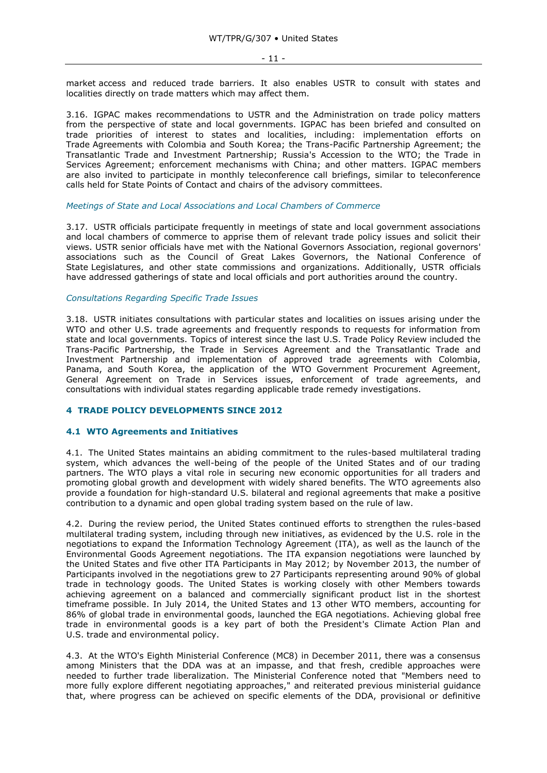market access and reduced trade barriers. It also enables USTR to consult with states and localities directly on trade matters which may affect them.

3.16. IGPAC makes recommendations to USTR and the Administration on trade policy matters from the perspective of state and local governments. IGPAC has been briefed and consulted on trade priorities of interest to states and localities, including: implementation efforts on Trade Agreements with Colombia and South Korea; the Trans-Pacific Partnership Agreement; the Transatlantic Trade and Investment Partnership; Russia's Accession to the WTO; the Trade in Services Agreement; enforcement mechanisms with China; and other matters. IGPAC members are also invited to participate in monthly teleconference call briefings, similar to teleconference calls held for State Points of Contact and chairs of the advisory committees.

#### <span id="page-10-0"></span>*Meetings of State and Local Associations and Local Chambers of Commerce*

3.17. USTR officials participate frequently in meetings of state and local government associations and local chambers of commerce to apprise them of relevant trade policy issues and solicit their views. USTR senior officials have met with the National Governors Association, regional governors' associations such as the Council of Great Lakes Governors, the National Conference of State Legislatures, and other state commissions and organizations. Additionally, USTR officials have addressed gatherings of state and local officials and port authorities around the country.

#### <span id="page-10-1"></span>*Consultations Regarding Specific Trade Issues*

3.18. USTR initiates consultations with particular states and localities on issues arising under the WTO and other U.S. trade agreements and frequently responds to requests for information from state and local governments. Topics of interest since the last U.S. Trade Policy Review included the Trans-Pacific Partnership, the Trade in Services Agreement and the Transatlantic Trade and Investment Partnership and implementation of approved trade agreements with Colombia, Panama, and South Korea, the application of the WTO Government Procurement Agreement, General Agreement on Trade in Services issues, enforcement of trade agreements, and consultations with individual states regarding applicable trade remedy investigations.

# <span id="page-10-2"></span>**4 TRADE POLICY DEVELOPMENTS SINCE 2012**

#### <span id="page-10-3"></span>**4.1 WTO Agreements and Initiatives**

4.1. The United States maintains an abiding commitment to the rules-based multilateral trading system, which advances the well-being of the people of the United States and of our trading partners. The WTO plays a vital role in securing new economic opportunities for all traders and promoting global growth and development with widely shared benefits. The WTO agreements also provide a foundation for high-standard U.S. bilateral and regional agreements that make a positive contribution to a dynamic and open global trading system based on the rule of law.

4.2. During the review period, the United States continued efforts to strengthen the rules-based multilateral trading system, including through new initiatives, as evidenced by the U.S. role in the negotiations to expand the Information Technology Agreement (ITA), as well as the launch of the Environmental Goods Agreement negotiations. The ITA expansion negotiations were launched by the United States and five other ITA Participants in May 2012; by November 2013, the number of Participants involved in the negotiations grew to 27 Participants representing around 90% of global trade in technology goods. The United States is working closely with other Members towards achieving agreement on a balanced and commercially significant product list in the shortest timeframe possible. In July 2014, the United States and 13 other WTO members, accounting for 86% of global trade in environmental goods, launched the EGA negotiations. Achieving global free trade in environmental goods is a key part of both the President's Climate Action Plan and U.S. trade and environmental policy.

4.3. At the WTO's Eighth Ministerial Conference (MC8) in December 2011, there was a consensus among Ministers that the DDA was at an impasse, and that fresh, credible approaches were needed to further trade liberalization. The Ministerial Conference noted that "Members need to more fully explore different negotiating approaches," and reiterated previous ministerial guidance that, where progress can be achieved on specific elements of the DDA, provisional or definitive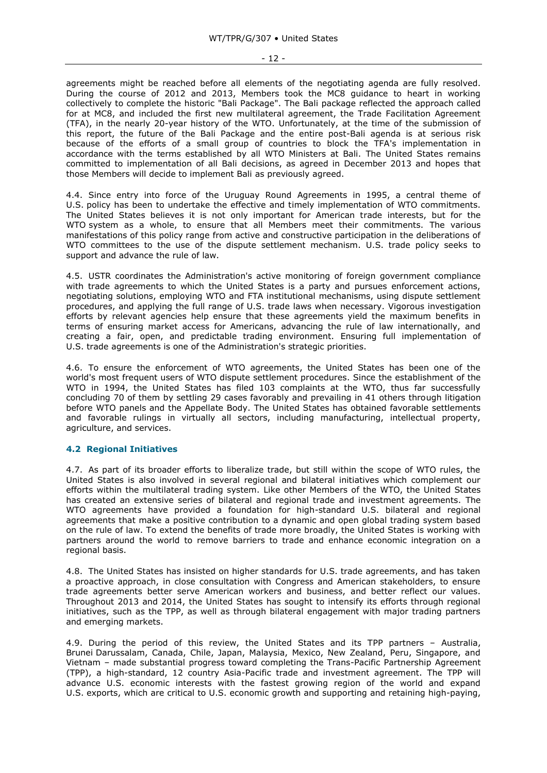agreements might be reached before all elements of the negotiating agenda are fully resolved. During the course of 2012 and 2013, Members took the MC8 guidance to heart in working collectively to complete the historic "Bali Package". The Bali package reflected the approach called for at MC8, and included the first new multilateral agreement, the Trade Facilitation Agreement (TFA), in the nearly 20-year history of the WTO. Unfortunately, at the time of the submission of this report, the future of the Bali Package and the entire post-Bali agenda is at serious risk because of the efforts of a small group of countries to block the TFA's implementation in accordance with the terms established by all WTO Ministers at Bali. The United States remains committed to implementation of all Bali decisions, as agreed in December 2013 and hopes that those Members will decide to implement Bali as previously agreed.

4.4. Since entry into force of the Uruguay Round Agreements in 1995, a central theme of U.S. policy has been to undertake the effective and timely implementation of WTO commitments. The United States believes it is not only important for American trade interests, but for the WTO system as a whole, to ensure that all Members meet their commitments. The various manifestations of this policy range from active and constructive participation in the deliberations of WTO committees to the use of the dispute settlement mechanism. U.S. trade policy seeks to support and advance the rule of law.

4.5. USTR coordinates the Administration's active monitoring of foreign government compliance with trade agreements to which the United States is a party and pursues enforcement actions, negotiating solutions, employing WTO and FTA institutional mechanisms, using dispute settlement procedures, and applying the full range of U.S. trade laws when necessary. Vigorous investigation efforts by relevant agencies help ensure that these agreements yield the maximum benefits in terms of ensuring market access for Americans, advancing the rule of law internationally, and creating a fair, open, and predictable trading environment. Ensuring full implementation of U.S. trade agreements is one of the Administration's strategic priorities.

4.6. To ensure the enforcement of WTO agreements, the United States has been one of the world's most frequent users of WTO dispute settlement procedures. Since the establishment of the WTO in 1994, the United States has filed 103 complaints at the WTO, thus far successfully concluding 70 of them by settling 29 cases favorably and prevailing in 41 others through litigation before WTO panels and the Appellate Body. The United States has obtained favorable settlements and favorable rulings in virtually all sectors, including manufacturing, intellectual property, agriculture, and services.

# <span id="page-11-0"></span>**4.2 Regional Initiatives**

4.7. As part of its broader efforts to liberalize trade, but still within the scope of WTO rules, the United States is also involved in several regional and bilateral initiatives which complement our efforts within the multilateral trading system. Like other Members of the WTO, the United States has created an extensive series of bilateral and regional trade and investment agreements. The WTO agreements have provided a foundation for high-standard U.S. bilateral and regional agreements that make a positive contribution to a dynamic and open global trading system based on the rule of law. To extend the benefits of trade more broadly, the United States is working with partners around the world to remove barriers to trade and enhance economic integration on a regional basis.

4.8. The United States has insisted on higher standards for U.S. trade agreements, and has taken a proactive approach, in close consultation with Congress and American stakeholders, to ensure trade agreements better serve American workers and business, and better reflect our values. Throughout 2013 and 2014, the United States has sought to intensify its efforts through regional initiatives, such as the TPP, as well as through bilateral engagement with major trading partners and emerging markets.

4.9. During the period of this review, the United States and its TPP partners – Australia, Brunei Darussalam, Canada, Chile, Japan, Malaysia, Mexico, New Zealand, Peru, Singapore, and Vietnam – made substantial progress toward completing the Trans-Pacific Partnership Agreement (TPP), a high-standard, 12 country Asia-Pacific trade and investment agreement. The TPP will advance U.S. economic interests with the fastest growing region of the world and expand U.S. exports, which are critical to U.S. economic growth and supporting and retaining high-paying,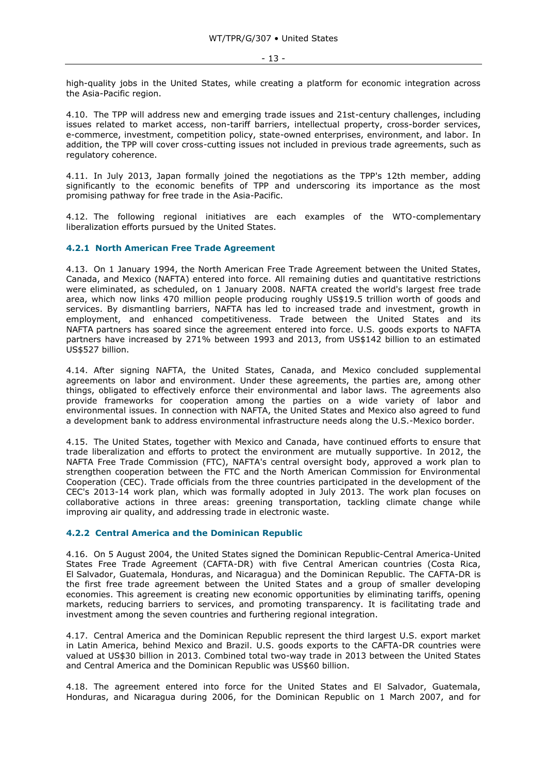high-quality jobs in the United States, while creating a platform for economic integration across the Asia-Pacific region.

4.10. The TPP will address new and emerging trade issues and 21st-century challenges, including issues related to market access, non-tariff barriers, intellectual property, cross-border services, e-commerce, investment, competition policy, state-owned enterprises, environment, and labor. In addition, the TPP will cover cross-cutting issues not included in previous trade agreements, such as regulatory coherence.

4.11. In July 2013, Japan formally joined the negotiations as the TPP's 12th member, adding significantly to the economic benefits of TPP and underscoring its importance as the most promising pathway for free trade in the Asia-Pacific.

4.12. The following regional initiatives are each examples of the WTO-complementary liberalization efforts pursued by the United States.

## <span id="page-12-0"></span>**4.2.1 North American Free Trade Agreement**

4.13. On 1 January 1994, the North American Free Trade Agreement between the United States, Canada, and Mexico (NAFTA) entered into force. All remaining duties and quantitative restrictions were eliminated, as scheduled, on 1 January 2008. NAFTA created the world's largest free trade area, which now links 470 million people producing roughly US\$19.5 trillion worth of goods and services. By dismantling barriers, NAFTA has led to increased trade and investment, growth in employment, and enhanced competitiveness. Trade between the United States and its NAFTA partners has soared since the agreement entered into force. U.S. goods exports to NAFTA partners have increased by 271% between 1993 and 2013, from US\$142 billion to an estimated US\$527 billion.

4.14. After signing NAFTA, the United States, Canada, and Mexico concluded supplemental agreements on labor and environment. Under these agreements, the parties are, among other things, obligated to effectively enforce their environmental and labor laws. The agreements also provide frameworks for cooperation among the parties on a wide variety of labor and environmental issues. In connection with NAFTA, the United States and Mexico also agreed to fund a development bank to address environmental infrastructure needs along the U.S.-Mexico border.

4.15. The United States, together with Mexico and Canada, have continued efforts to ensure that trade liberalization and efforts to protect the environment are mutually supportive. In 2012, the NAFTA Free Trade Commission (FTC), NAFTA's central oversight body, approved a work plan to strengthen cooperation between the FTC and the North American Commission for Environmental Cooperation (CEC). Trade officials from the three countries participated in the development of the CEC's 2013-14 work plan, which was formally adopted in July 2013. The work plan focuses on collaborative actions in three areas: greening transportation, tackling climate change while improving air quality, and addressing trade in electronic waste.

# <span id="page-12-1"></span>**4.2.2 Central America and the Dominican Republic**

4.16. On 5 August 2004, the United States signed the Dominican Republic-Central America-United States Free Trade Agreement (CAFTA-DR) with five Central American countries (Costa Rica, El Salvador, Guatemala, Honduras, and Nicaragua) and the Dominican Republic. The CAFTA-DR is the first free trade agreement between the United States and a group of smaller developing economies. This agreement is creating new economic opportunities by eliminating tariffs, opening markets, reducing barriers to services, and promoting transparency. It is facilitating trade and investment among the seven countries and furthering regional integration.

4.17. Central America and the Dominican Republic represent the third largest U.S. export market in Latin America, behind Mexico and Brazil. U.S. goods exports to the CAFTA-DR countries were valued at US\$30 billion in 2013. Combined total two-way trade in 2013 between the United States and Central America and the Dominican Republic was US\$60 billion.

4.18. The agreement entered into force for the United States and El Salvador, Guatemala, Honduras, and Nicaragua during 2006, for the Dominican Republic on 1 March 2007, and for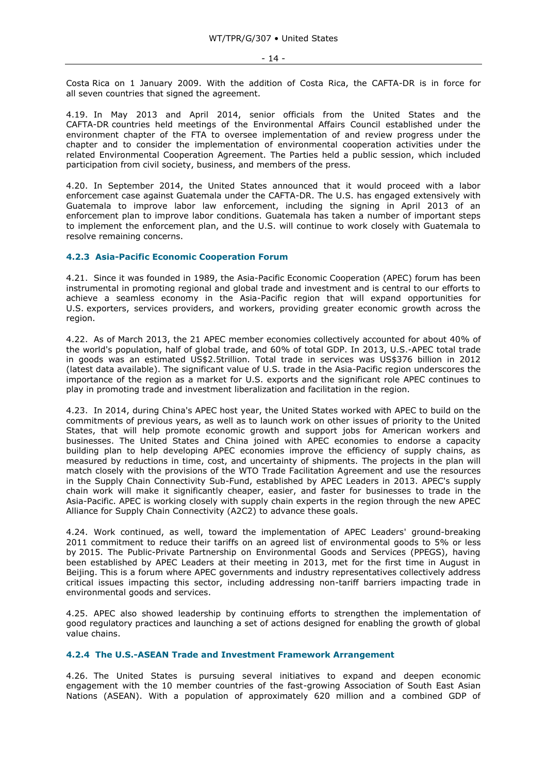Costa Rica on 1 January 2009. With the addition of Costa Rica, the CAFTA-DR is in force for all seven countries that signed the agreement.

4.19. In May 2013 and April 2014, senior officials from the United States and the CAFTA-DR countries held meetings of the Environmental Affairs Council established under the environment chapter of the FTA to oversee implementation of and review progress under the chapter and to consider the implementation of environmental cooperation activities under the related Environmental Cooperation Agreement. The Parties held a public session, which included participation from civil society, business, and members of the press.

4.20. In September 2014, the United States announced that it would proceed with a labor enforcement case against Guatemala under the CAFTA-DR. The U.S. has engaged extensively with Guatemala to improve labor law enforcement, including the signing in April 2013 of an enforcement plan to improve labor conditions. Guatemala has taken a number of important steps to implement the enforcement plan, and the U.S. will continue to work closely with Guatemala to resolve remaining concerns.

# <span id="page-13-0"></span>**4.2.3 Asia-Pacific Economic Cooperation Forum**

4.21. Since it was founded in 1989, the Asia-Pacific Economic Cooperation (APEC) forum has been instrumental in promoting regional and global trade and investment and is central to our efforts to achieve a seamless economy in the Asia-Pacific region that will expand opportunities for U.S. exporters, services providers, and workers, providing greater economic growth across the region.

4.22. As of March 2013, the 21 APEC member economies collectively accounted for about 40% of the world's population, half of global trade, and 60% of total GDP. In 2013, U.S.-APEC total trade in goods was an estimated US\$2.5trillion. Total trade in services was US\$376 billion in 2012 (latest data available). The significant value of U.S. trade in the Asia-Pacific region underscores the importance of the region as a market for U.S. exports and the significant role APEC continues to play in promoting trade and investment liberalization and facilitation in the region.

4.23. In 2014, during China's APEC host year, the United States worked with APEC to build on the commitments of previous years, as well as to launch work on other issues of priority to the United States, that will help promote economic growth and support jobs for American workers and businesses. The United States and China joined with APEC economies to endorse a capacity building plan to help developing APEC economies improve the efficiency of supply chains, as measured by reductions in time, cost, and uncertainty of shipments. The projects in the plan will match closely with the provisions of the WTO Trade Facilitation Agreement and use the resources in the Supply Chain Connectivity Sub-Fund, established by APEC Leaders in 2013. APEC's supply chain work will make it significantly cheaper, easier, and faster for businesses to trade in the Asia-Pacific. APEC is working closely with supply chain experts in the region through the new APEC Alliance for Supply Chain Connectivity (A2C2) to advance these goals.

4.24. Work continued, as well, toward the implementation of APEC Leaders' ground-breaking 2011 commitment to reduce their tariffs on an agreed list of environmental goods to 5% or less by 2015. The Public-Private Partnership on Environmental Goods and Services (PPEGS), having been established by APEC Leaders at their meeting in 2013, met for the first time in August in Beijing. This is a forum where APEC governments and industry representatives collectively address critical issues impacting this sector, including addressing non-tariff barriers impacting trade in environmental goods and services.

4.25. APEC also showed leadership by continuing efforts to strengthen the implementation of good regulatory practices and launching a set of actions designed for enabling the growth of global value chains.

#### <span id="page-13-1"></span>**4.2.4 The U.S.-ASEAN Trade and Investment Framework Arrangement**

4.26. The United States is pursuing several initiatives to expand and deepen economic engagement with the 10 member countries of the fast-growing Association of South East Asian Nations (ASEAN). With a population of approximately 620 million and a combined GDP of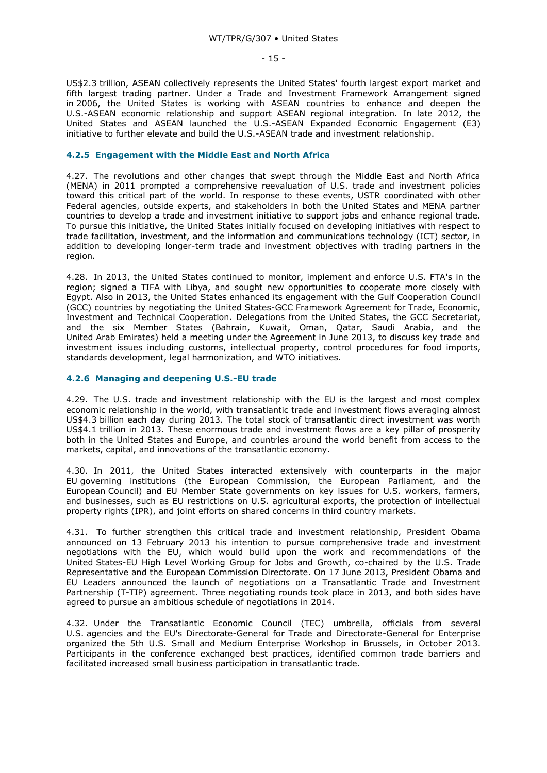- 15 -

US\$2.3 trillion, ASEAN collectively represents the United States' fourth largest export market and fifth largest trading partner. Under a Trade and Investment Framework Arrangement signed in 2006, the United States is working with ASEAN countries to enhance and deepen the U.S.-ASEAN economic relationship and support ASEAN regional integration. In late 2012, the United States and ASEAN launched the U.S.-ASEAN Expanded Economic Engagement (E3) initiative to further elevate and build the U.S.-ASEAN trade and investment relationship.

## <span id="page-14-0"></span>**4.2.5 Engagement with the Middle East and North Africa**

4.27. The revolutions and other changes that swept through the Middle East and North Africa (MENA) in 2011 prompted a comprehensive reevaluation of U.S. trade and investment policies toward this critical part of the world. In response to these events, USTR coordinated with other Federal agencies, outside experts, and stakeholders in both the United States and MENA partner countries to develop a trade and investment initiative to support jobs and enhance regional trade. To pursue this initiative, the United States initially focused on developing initiatives with respect to trade facilitation, investment, and the information and communications technology (ICT) sector, in addition to developing longer-term trade and investment objectives with trading partners in the region.

4.28. In 2013, the United States continued to monitor, implement and enforce U.S. FTA's in the region; signed a TIFA with Libya, and sought new opportunities to cooperate more closely with Egypt. Also in 2013, the United States enhanced its engagement with the Gulf Cooperation Council (GCC) countries by negotiating the United States-GCC Framework Agreement for Trade, Economic, Investment and Technical Cooperation. Delegations from the United States, the GCC Secretariat, and the six Member States (Bahrain, Kuwait, Oman, Qatar, Saudi Arabia, and the United Arab Emirates) held a meeting under the Agreement in June 2013, to discuss key trade and investment issues including customs, intellectual property, control procedures for food imports, standards development, legal harmonization, and WTO initiatives.

## <span id="page-14-1"></span>**4.2.6 Managing and deepening U.S.-EU trade**

4.29. The U.S. trade and investment relationship with the EU is the largest and most complex economic relationship in the world, with transatlantic trade and investment flows averaging almost US\$4.3 billion each day during 2013. The total stock of transatlantic direct investment was worth US\$4.1 trillion in 2013. These enormous trade and investment flows are a key pillar of prosperity both in the United States and Europe, and countries around the world benefit from access to the markets, capital, and innovations of the transatlantic economy.

4.30. In 2011, the United States interacted extensively with counterparts in the major EU governing institutions (the European Commission, the European Parliament, and the European Council) and EU Member State governments on key issues for U.S. workers, farmers, and businesses, such as EU restrictions on U.S. agricultural exports, the protection of intellectual property rights (IPR), and joint efforts on shared concerns in third country markets.

4.31. To further strengthen this critical trade and investment relationship, President Obama announced on 13 February 2013 his intention to pursue comprehensive trade and investment negotiations with the EU, which would build upon the work and recommendations of the United States-EU High Level Working Group for Jobs and Growth, co-chaired by the U.S. Trade Representative and the European Commission Directorate. On 17 June 2013, President Obama and EU Leaders announced the launch of negotiations on a Transatlantic Trade and Investment Partnership (T-TIP) agreement. Three negotiating rounds took place in 2013, and both sides have agreed to pursue an ambitious schedule of negotiations in 2014.

4.32. Under the Transatlantic Economic Council (TEC) umbrella, officials from several U.S. agencies and the EU's Directorate-General for Trade and Directorate-General for Enterprise organized the 5th U.S. Small and Medium Enterprise Workshop in Brussels, in October 2013. Participants in the conference exchanged best practices, identified common trade barriers and facilitated increased small business participation in transatlantic trade.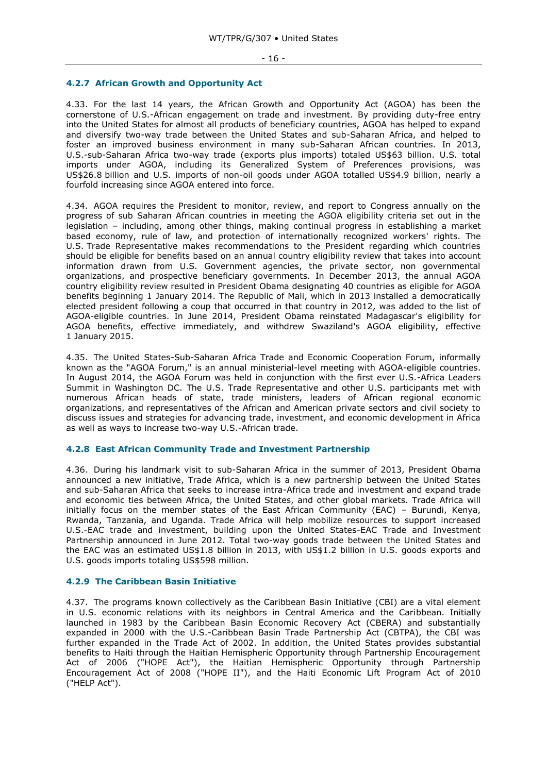#### <span id="page-15-0"></span>**4.2.7 African Growth and Opportunity Act**

4.33. For the last 14 years, the African Growth and Opportunity Act (AGOA) has been the cornerstone of U.S.-African engagement on trade and investment. By providing duty-free entry into the United States for almost all products of beneficiary countries, AGOA has helped to expand and diversify two-way trade between the United States and sub-Saharan Africa, and helped to foster an improved business environment in many sub-Saharan African countries. In 2013, U.S.-sub-Saharan Africa two-way trade (exports plus imports) totaled US\$63 billion. U.S. total imports under AGOA, including its Generalized System of Preferences provisions, was US\$26.8 billion and U.S. imports of non-oil goods under AGOA totalled US\$4.9 billion, nearly a fourfold increasing since AGOA entered into force.

4.34. AGOA requires the President to monitor, review, and report to Congress annually on the progress of sub Saharan African countries in meeting the AGOA eligibility criteria set out in the legislation – including, among other things, making continual progress in establishing a market based economy, rule of law, and protection of internationally recognized workers' rights. The U.S. Trade Representative makes recommendations to the President regarding which countries should be eligible for benefits based on an annual country eligibility review that takes into account information drawn from U.S. Government agencies, the private sector, non governmental organizations, and prospective beneficiary governments. In December 2013, the annual AGOA country eligibility review resulted in President Obama designating 40 countries as eligible for AGOA benefits beginning 1 January 2014. The Republic of Mali, which in 2013 installed a democratically elected president following a coup that occurred in that country in 2012, was added to the list of AGOA-eligible countries. In June 2014, President Obama reinstated Madagascar's eligibility for AGOA benefits, effective immediately, and withdrew Swaziland's AGOA eligibility, effective 1 January 2015.

4.35. The United States-Sub-Saharan Africa Trade and Economic Cooperation Forum, informally known as the "AGOA Forum," is an annual ministerial-level meeting with AGOA-eligible countries. In August 2014, the AGOA Forum was held in conjunction with the first ever U.S.-Africa Leaders Summit in Washington DC. The U.S. Trade Representative and other U.S. participants met with numerous African heads of state, trade ministers, leaders of African regional economic organizations, and representatives of the African and American private sectors and civil society to discuss issues and strategies for advancing trade, investment, and economic development in Africa as well as ways to increase two-way U.S.-African trade.

#### <span id="page-15-1"></span>**4.2.8 East African Community Trade and Investment Partnership**

4.36. During his landmark visit to sub-Saharan Africa in the summer of 2013, President Obama announced a new initiative, Trade Africa, which is a new partnership between the United States and sub-Saharan Africa that seeks to increase intra-Africa trade and investment and expand trade and economic ties between Africa, the United States, and other global markets. Trade Africa will initially focus on the member states of the East African Community (EAC) – Burundi, Kenya, Rwanda, Tanzania, and Uganda. Trade Africa will help mobilize resources to support increased U.S.-EAC trade and investment, building upon the United States-EAC Trade and Investment Partnership announced in June 2012. Total two-way goods trade between the United States and the EAC was an estimated US\$1.8 billion in 2013, with US\$1.2 billion in U.S. goods exports and U.S. goods imports totaling US\$598 million.

# <span id="page-15-2"></span>**4.2.9 The Caribbean Basin Initiative**

4.37. The programs known collectively as the Caribbean Basin Initiative (CBI) are a vital element in U.S. economic relations with its neighbors in Central America and the Caribbean. Initially launched in 1983 by the Caribbean Basin Economic Recovery Act (CBERA) and substantially expanded in 2000 with the U.S.-Caribbean Basin Trade Partnership Act (CBTPA), the CBI was further expanded in the Trade Act of 2002. In addition, the United States provides substantial benefits to Haiti through the Haitian Hemispheric Opportunity through Partnership Encouragement Act of 2006 ("HOPE Act"), the Haitian Hemispheric Opportunity through Partnership Encouragement Act of 2008 ("HOPE II"), and the Haiti Economic Lift Program Act of 2010 ("HELP Act").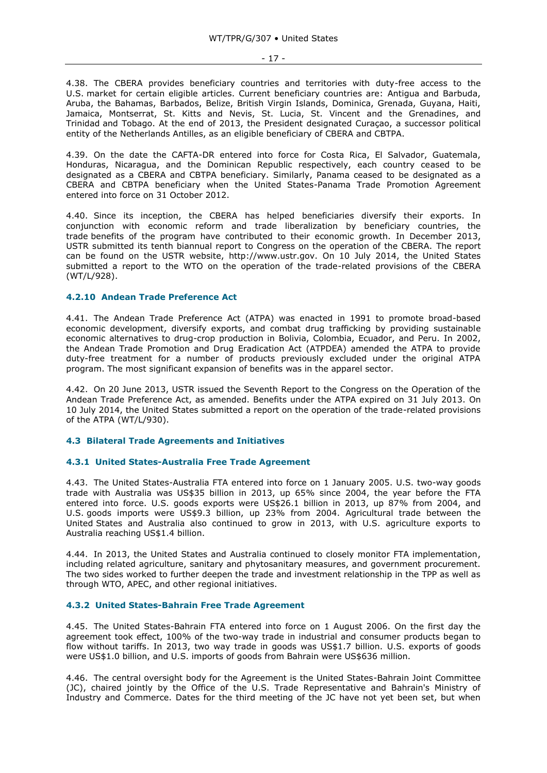4.38. The CBERA provides beneficiary countries and territories with duty-free access to the U.S. market for certain eligible articles. Current beneficiary countries are: Antigua and Barbuda, Aruba, the Bahamas, Barbados, Belize, British Virgin Islands, Dominica, Grenada, Guyana, Haiti, Jamaica, Montserrat, St. Kitts and Nevis, St. Lucia, St. Vincent and the Grenadines, and Trinidad and Tobago. At the end of 2013, the President designated Curaçao, a successor political entity of the Netherlands Antilles, as an eligible beneficiary of CBERA and CBTPA.

4.39. On the date the CAFTA-DR entered into force for Costa Rica, El Salvador, Guatemala, Honduras, Nicaragua, and the Dominican Republic respectively, each country ceased to be designated as a CBERA and CBTPA beneficiary. Similarly, Panama ceased to be designated as a CBERA and CBTPA beneficiary when the United States-Panama Trade Promotion Agreement entered into force on 31 October 2012.

4.40. Since its inception, the CBERA has helped beneficiaries diversify their exports. In conjunction with economic reform and trade liberalization by beneficiary countries, the trade benefits of the program have contributed to their economic growth. In December 2013, USTR submitted its tenth biannual report to Congress on the operation of the CBERA. The report can be found on the USTR website, http://www.ustr.gov. On 10 July 2014, the United States submitted a report to the WTO on the operation of the trade-related provisions of the CBERA (WT/L/928).

## <span id="page-16-0"></span>**4.2.10 Andean Trade Preference Act**

4.41. The Andean Trade Preference Act (ATPA) was enacted in 1991 to promote broad-based economic development, diversify exports, and combat drug trafficking by providing sustainable economic alternatives to drug-crop production in Bolivia, Colombia, Ecuador, and Peru. In 2002, the Andean Trade Promotion and Drug Eradication Act (ATPDEA) amended the ATPA to provide duty-free treatment for a number of products previously excluded under the original ATPA program. The most significant expansion of benefits was in the apparel sector.

4.42. On 20 June 2013, USTR issued the Seventh Report to the Congress on the Operation of the Andean Trade Preference Act, as amended. Benefits under the ATPA expired on 31 July 2013. On 10 July 2014, the United States submitted a report on the operation of the trade-related provisions of the ATPA (WT/L/930).

#### <span id="page-16-1"></span>**4.3 Bilateral Trade Agreements and Initiatives**

# <span id="page-16-2"></span>**4.3.1 United States-Australia Free Trade Agreement**

4.43. The United States-Australia FTA entered into force on 1 January 2005. U.S. two-way goods trade with Australia was US\$35 billion in 2013, up 65% since 2004, the year before the FTA entered into force. U.S. goods exports were US\$26.1 billion in 2013, up 87% from 2004, and U.S. goods imports were US\$9.3 billion, up 23% from 2004. Agricultural trade between the United States and Australia also continued to grow in 2013, with U.S. agriculture exports to Australia reaching US\$1.4 billion.

4.44. In 2013, the United States and Australia continued to closely monitor FTA implementation, including related agriculture, sanitary and phytosanitary measures, and government procurement. The two sides worked to further deepen the trade and investment relationship in the TPP as well as through WTO, APEC, and other regional initiatives.

#### <span id="page-16-3"></span>**4.3.2 United States-Bahrain Free Trade Agreement**

4.45. The United States-Bahrain FTA entered into force on 1 August 2006. On the first day the agreement took effect, 100% of the two-way trade in industrial and consumer products began to flow without tariffs. In 2013, two way trade in goods was US\$1.7 billion. U.S. exports of goods were US\$1.0 billion, and U.S. imports of goods from Bahrain were US\$636 million.

4.46. The central oversight body for the Agreement is the United States-Bahrain Joint Committee (JC), chaired jointly by the Office of the U.S. Trade Representative and Bahrain's Ministry of Industry and Commerce. Dates for the third meeting of the JC have not yet been set, but when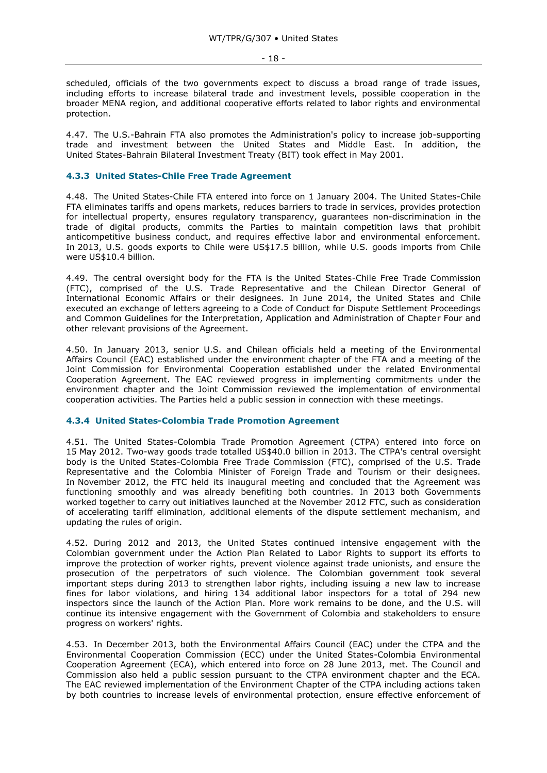scheduled, officials of the two governments expect to discuss a broad range of trade issues, including efforts to increase bilateral trade and investment levels, possible cooperation in the broader MENA region, and additional cooperative efforts related to labor rights and environmental protection.

4.47. The U.S.-Bahrain FTA also promotes the Administration's policy to increase job-supporting trade and investment between the United States and Middle East. In addition, the United States-Bahrain Bilateral Investment Treaty (BIT) took effect in May 2001.

# <span id="page-17-0"></span>**4.3.3 United States-Chile Free Trade Agreement**

4.48. The United States-Chile FTA entered into force on 1 January 2004. The United States-Chile FTA eliminates tariffs and opens markets, reduces barriers to trade in services, provides protection for intellectual property, ensures regulatory transparency, guarantees non-discrimination in the trade of digital products, commits the Parties to maintain competition laws that prohibit anticompetitive business conduct, and requires effective labor and environmental enforcement. In 2013, U.S. goods exports to Chile were US\$17.5 billion, while U.S. goods imports from Chile were US\$10.4 billion.

4.49. The central oversight body for the FTA is the United States-Chile Free Trade Commission (FTC), comprised of the U.S. Trade Representative and the Chilean Director General of International Economic Affairs or their designees. In June 2014, the United States and Chile executed an exchange of letters agreeing to a Code of Conduct for Dispute Settlement Proceedings and Common Guidelines for the Interpretation, Application and Administration of Chapter Four and other relevant provisions of the Agreement.

4.50. In January 2013, senior U.S. and Chilean officials held a meeting of the Environmental Affairs Council (EAC) established under the environment chapter of the FTA and a meeting of the Joint Commission for Environmental Cooperation established under the related Environmental Cooperation Agreement. The EAC reviewed progress in implementing commitments under the environment chapter and the Joint Commission reviewed the implementation of environmental cooperation activities. The Parties held a public session in connection with these meetings.

#### <span id="page-17-1"></span>**4.3.4 United States-Colombia Trade Promotion Agreement**

4.51. The United States-Colombia Trade Promotion Agreement (CTPA) entered into force on 15 May 2012. Two-way goods trade totalled US\$40.0 billion in 2013. The CTPA's central oversight body is the United States-Colombia Free Trade Commission (FTC), comprised of the U.S. Trade Representative and the Colombia Minister of Foreign Trade and Tourism or their designees. In November 2012, the FTC held its inaugural meeting and concluded that the Agreement was functioning smoothly and was already benefiting both countries. In 2013 both Governments worked together to carry out initiatives launched at the November 2012 FTC, such as consideration of accelerating tariff elimination, additional elements of the dispute settlement mechanism, and updating the rules of origin.

4.52. During 2012 and 2013, the United States continued intensive engagement with the Colombian government under the Action Plan Related to Labor Rights to support its efforts to improve the protection of worker rights, prevent violence against trade unionists, and ensure the prosecution of the perpetrators of such violence. The Colombian government took several important steps during 2013 to strengthen labor rights, including issuing a new law to increase fines for labor violations, and hiring 134 additional labor inspectors for a total of 294 new inspectors since the launch of the Action Plan. More work remains to be done, and the U.S. will continue its intensive engagement with the Government of Colombia and stakeholders to ensure progress on workers' rights.

4.53. In December 2013, both the Environmental Affairs Council (EAC) under the CTPA and the Environmental Cooperation Commission (ECC) under the United States-Colombia Environmental Cooperation Agreement (ECA), which entered into force on 28 June 2013, met. The Council and Commission also held a public session pursuant to the CTPA environment chapter and the ECA. The EAC reviewed implementation of the Environment Chapter of the CTPA including actions taken by both countries to increase levels of environmental protection, ensure effective enforcement of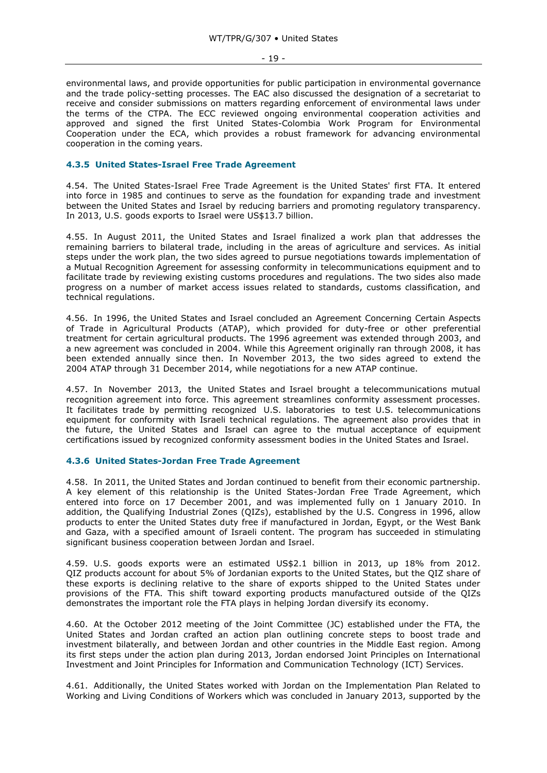environmental laws, and provide opportunities for public participation in environmental governance and the trade policy-setting processes. The EAC also discussed the designation of a secretariat to receive and consider submissions on matters regarding enforcement of environmental laws under the terms of the CTPA. The ECC reviewed ongoing environmental cooperation activities and approved and signed the first United States-Colombia Work Program for Environmental Cooperation under the ECA, which provides a robust framework for advancing environmental cooperation in the coming years.

# <span id="page-18-0"></span>**4.3.5 United States-Israel Free Trade Agreement**

4.54. The United States-Israel Free Trade Agreement is the United States' first FTA. It entered into force in 1985 and continues to serve as the foundation for expanding trade and investment between the United States and Israel by reducing barriers and promoting regulatory transparency. In 2013, U.S. goods exports to Israel were US\$13.7 billion.

4.55. In August 2011, the United States and Israel finalized a work plan that addresses the remaining barriers to bilateral trade, including in the areas of agriculture and services. As initial steps under the work plan, the two sides agreed to pursue negotiations towards implementation of a Mutual Recognition Agreement for assessing conformity in telecommunications equipment and to facilitate trade by reviewing existing customs procedures and regulations. The two sides also made progress on a number of market access issues related to standards, customs classification, and technical regulations.

4.56. In 1996, the United States and Israel concluded an Agreement Concerning Certain Aspects of Trade in Agricultural Products (ATAP), which provided for duty-free or other preferential treatment for certain agricultural products. The 1996 agreement was extended through 2003, and a new agreement was concluded in 2004. While this Agreement originally ran through 2008, it has been extended annually since then. In November 2013, the two sides agreed to extend the 2004 ATAP through 31 December 2014, while negotiations for a new ATAP continue.

4.57. In November 2013, the United States and Israel brought a telecommunications mutual recognition agreement into force. This agreement streamlines conformity assessment processes. It facilitates trade by permitting recognized U.S. laboratories to test U.S. telecommunications equipment for conformity with Israeli technical regulations. The agreement also provides that in the future, the United States and Israel can agree to the mutual acceptance of equipment certifications issued by recognized conformity assessment bodies in the United States and Israel.

#### <span id="page-18-1"></span>**4.3.6 United States-Jordan Free Trade Agreement**

4.58. In 2011, the United States and Jordan continued to benefit from their economic partnership. A key element of this relationship is the United States-Jordan Free Trade Agreement, which entered into force on 17 December 2001, and was implemented fully on 1 January 2010. In addition, the Qualifying Industrial Zones (QIZs), established by the U.S. Congress in 1996, allow products to enter the United States duty free if manufactured in Jordan, Egypt, or the West Bank and Gaza, with a specified amount of Israeli content. The program has succeeded in stimulating significant business cooperation between Jordan and Israel.

4.59. U.S. goods exports were an estimated US\$2.1 billion in 2013, up 18% from 2012. QIZ products account for about 5% of Jordanian exports to the United States, but the QIZ share of these exports is declining relative to the share of exports shipped to the United States under provisions of the FTA. This shift toward exporting products manufactured outside of the QIZs demonstrates the important role the FTA plays in helping Jordan diversify its economy.

4.60. At the October 2012 meeting of the Joint Committee (JC) established under the FTA, the United States and Jordan crafted an action plan outlining concrete steps to boost trade and investment bilaterally, and between Jordan and other countries in the Middle East region. Among its first steps under the action plan during 2013, Jordan endorsed Joint Principles on International Investment and Joint Principles for Information and Communication Technology (ICT) Services.

4.61. Additionally, the United States worked with Jordan on the Implementation Plan Related to Working and Living Conditions of Workers which was concluded in January 2013, supported by the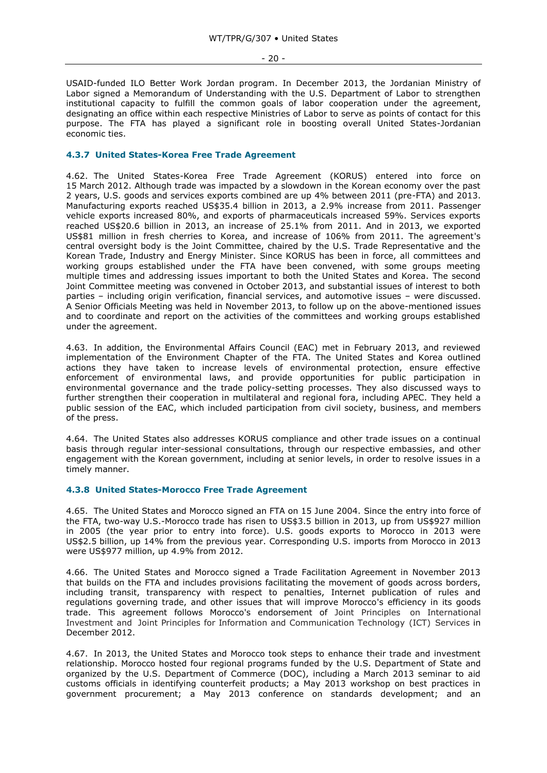- 20 -

USAID-funded ILO Better Work Jordan program. In December 2013, the Jordanian Ministry of Labor signed a Memorandum of Understanding with the U.S. Department of Labor to strengthen institutional capacity to fulfill the common goals of labor cooperation under the agreement, designating an office within each respective Ministries of Labor to serve as points of contact for this purpose. The FTA has played a significant role in boosting overall United States-Jordanian economic ties.

## <span id="page-19-0"></span>**4.3.7 United States-Korea Free Trade Agreement**

4.62. The United States-Korea Free Trade Agreement (KORUS) entered into force on 15 March 2012. Although trade was impacted by a slowdown in the Korean economy over the past 2 years, U.S. goods and services exports combined are up 4% between 2011 (pre-FTA) and 2013. Manufacturing exports reached US\$35.4 billion in 2013, a 2.9% increase from 2011. Passenger vehicle exports increased 80%, and exports of pharmaceuticals increased 59%. Services exports reached US\$20.6 billion in 2013, an increase of 25.1% from 2011. And in 2013, we exported US\$81 million in fresh cherries to Korea, and increase of 106% from 2011. The agreement's central oversight body is the Joint Committee, chaired by the U.S. Trade Representative and the Korean Trade, Industry and Energy Minister. Since KORUS has been in force, all committees and working groups established under the FTA have been convened, with some groups meeting multiple times and addressing issues important to both the United States and Korea. The second Joint Committee meeting was convened in October 2013, and substantial issues of interest to both parties – including origin verification, financial services, and automotive issues – were discussed. A Senior Officials Meeting was held in November 2013, to follow up on the above-mentioned issues and to coordinate and report on the activities of the committees and working groups established under the agreement.

4.63. In addition, the Environmental Affairs Council (EAC) met in February 2013, and reviewed implementation of the Environment Chapter of the FTA. The United States and Korea outlined actions they have taken to increase levels of environmental protection, ensure effective enforcement of environmental laws, and provide opportunities for public participation in environmental governance and the trade policy-setting processes. They also discussed ways to further strengthen their cooperation in multilateral and regional fora, including APEC. They held a public session of the EAC, which included participation from civil society, business, and members of the press.

4.64. The United States also addresses KORUS compliance and other trade issues on a continual basis through regular inter-sessional consultations, through our respective embassies, and other engagement with the Korean government, including at senior levels, in order to resolve issues in a timely manner.

# <span id="page-19-1"></span>**4.3.8 United States-Morocco Free Trade Agreement**

4.65. The United States and Morocco signed an FTA on 15 June 2004. Since the entry into force of the FTA, two-way U.S.-Morocco trade has risen to US\$3.5 billion in 2013, up from US\$927 million in 2005 (the year prior to entry into force). U.S. goods exports to Morocco in 2013 were US\$2.5 billion, up 14% from the previous year. Corresponding U.S. imports from Morocco in 2013 were US\$977 million, up 4.9% from 2012.

4.66. The United States and Morocco signed a Trade Facilitation Agreement in November 2013 that builds on the FTA and includes provisions facilitating the movement of goods across borders, including transit, transparency with respect to penalties, Internet publication of rules and regulations governing trade, and other issues that will improve Morocco's efficiency in its goods trade. This agreement follows Morocco's endorsement of Joint Principles on International Investment and Joint Principles for Information and Communication Technology (ICT) Services in December 2012.

4.67. In 2013, the United States and Morocco took steps to enhance their trade and investment relationship. Morocco hosted four regional programs funded by the U.S. Department of State and organized by the U.S. Department of Commerce (DOC), including a March 2013 seminar to aid customs officials in identifying counterfeit products; a May 2013 workshop on best practices in government procurement; a May 2013 conference on standards development; and an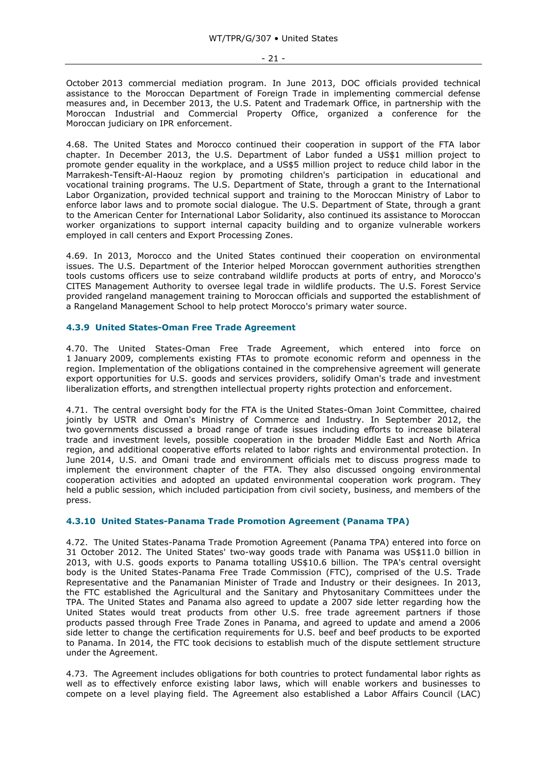October 2013 commercial mediation program. In June 2013, DOC officials provided technical assistance to the Moroccan Department of Foreign Trade in implementing commercial defense measures and, in December 2013, the U.S. Patent and Trademark Office, in partnership with the Moroccan Industrial and Commercial Property Office, organized a conference for the Moroccan judiciary on IPR enforcement.

4.68. The United States and Morocco continued their cooperation in support of the FTA labor chapter. In December 2013, the U.S. Department of Labor funded a US\$1 million project to promote gender equality in the workplace, and a US\$5 million project to reduce child labor in the Marrakesh-Tensift-Al-Haouz region by promoting children's participation in educational and vocational training programs. The U.S. Department of State, through a grant to the International Labor Organization, provided technical support and training to the Moroccan Ministry of Labor to enforce labor laws and to promote social dialogue. The U.S. Department of State, through a grant to the American Center for International Labor Solidarity, also continued its assistance to Moroccan worker organizations to support internal capacity building and to organize vulnerable workers employed in call centers and Export Processing Zones.

4.69. In 2013, Morocco and the United States continued their cooperation on environmental issues. The U.S. Department of the Interior helped Moroccan government authorities strengthen tools customs officers use to seize contraband wildlife products at ports of entry, and Morocco's CITES Management Authority to oversee legal trade in wildlife products. The U.S. Forest Service provided rangeland management training to Moroccan officials and supported the establishment of a Rangeland Management School to help protect Morocco's primary water source.

#### <span id="page-20-0"></span>**4.3.9 United States-Oman Free Trade Agreement**

4.70. The United States-Oman Free Trade Agreement, which entered into force on 1 January 2009, complements existing FTAs to promote economic reform and openness in the region. Implementation of the obligations contained in the comprehensive agreement will generate export opportunities for U.S. goods and services providers, solidify Oman's trade and investment liberalization efforts, and strengthen intellectual property rights protection and enforcement.

4.71. The central oversight body for the FTA is the United States-Oman Joint Committee, chaired jointly by USTR and Oman's Ministry of Commerce and Industry. In September 2012, the two governments discussed a broad range of trade issues including efforts to increase bilateral trade and investment levels, possible cooperation in the broader Middle East and North Africa region, and additional cooperative efforts related to labor rights and environmental protection. In June 2014, U.S. and Omani trade and environment officials met to discuss progress made to implement the environment chapter of the FTA. They also discussed ongoing environmental cooperation activities and adopted an updated environmental cooperation work program. They held a public session, which included participation from civil society, business, and members of the press.

# <span id="page-20-1"></span>**4.3.10 United States-Panama Trade Promotion Agreement (Panama TPA)**

4.72. The United States-Panama Trade Promotion Agreement (Panama TPA) entered into force on 31 October 2012. The United States' two-way goods trade with Panama was US\$11.0 billion in 2013, with U.S. goods exports to Panama totalling US\$10.6 billion. The TPA's central oversight body is the United States-Panama Free Trade Commission (FTC), comprised of the U.S. Trade Representative and the Panamanian Minister of Trade and Industry or their designees. In 2013, the FTC established the Agricultural and the Sanitary and Phytosanitary Committees under the TPA. The United States and Panama also agreed to update a 2007 side letter regarding how the United States would treat products from other U.S. free trade agreement partners if those products passed through Free Trade Zones in Panama, and agreed to update and amend a 2006 side letter to change the certification requirements for U.S. beef and beef products to be exported to Panama. In 2014, the FTC took decisions to establish much of the dispute settlement structure under the Agreement.

4.73. The Agreement includes obligations for both countries to protect fundamental labor rights as well as to effectively enforce existing labor laws, which will enable workers and businesses to compete on a level playing field. The Agreement also established a Labor Affairs Council (LAC)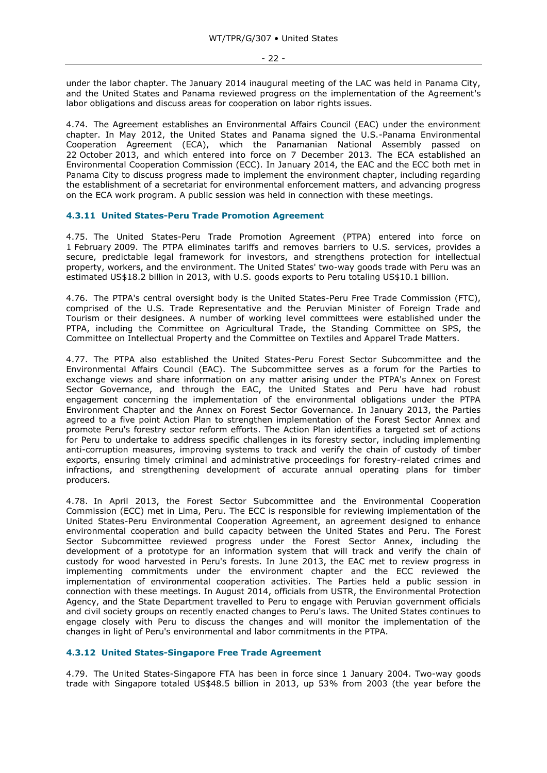under the labor chapter. The January 2014 inaugural meeting of the LAC was held in Panama City, and the United States and Panama reviewed progress on the implementation of the Agreement's labor obligations and discuss areas for cooperation on labor rights issues.

4.74. The Agreement establishes an Environmental Affairs Council (EAC) under the environment chapter. In May 2012, the United States and Panama signed the U.S.-Panama Environmental Cooperation Agreement (ECA), which the Panamanian National Assembly passed on 22 October 2013, and which entered into force on 7 December 2013. The ECA established an Environmental Cooperation Commission (ECC). In January 2014, the EAC and the ECC both met in Panama City to discuss progress made to implement the environment chapter, including regarding the establishment of a secretariat for environmental enforcement matters, and advancing progress on the ECA work program. A public session was held in connection with these meetings.

#### <span id="page-21-0"></span>**4.3.11 United States-Peru Trade Promotion Agreement**

4.75. The United States-Peru Trade Promotion Agreement (PTPA) entered into force on 1 February 2009. The PTPA eliminates tariffs and removes barriers to U.S. services, provides a secure, predictable legal framework for investors, and strengthens protection for intellectual property, workers, and the environment. The United States' two-way goods trade with Peru was an estimated US\$18.2 billion in 2013, with U.S. goods exports to Peru totaling US\$10.1 billion.

4.76. The PTPA's central oversight body is the United States-Peru Free Trade Commission (FTC), comprised of the U.S. Trade Representative and the Peruvian Minister of Foreign Trade and Tourism or their designees. A number of working level committees were established under the PTPA, including the Committee on Agricultural Trade, the Standing Committee on SPS, the Committee on Intellectual Property and the Committee on Textiles and Apparel Trade Matters.

4.77. The PTPA also established the United States-Peru Forest Sector Subcommittee and the Environmental Affairs Council (EAC). The Subcommittee serves as a forum for the Parties to exchange views and share information on any matter arising under the PTPA's Annex on Forest Sector Governance, and through the EAC, the United States and Peru have had robust engagement concerning the implementation of the environmental obligations under the PTPA Environment Chapter and the Annex on Forest Sector Governance. In January 2013, the Parties agreed to a five point Action Plan to strengthen implementation of the Forest Sector Annex and promote Peru's forestry sector reform efforts. The Action Plan identifies a targeted set of actions for Peru to undertake to address specific challenges in its forestry sector, including implementing anti-corruption measures, improving systems to track and verify the chain of custody of timber exports, ensuring timely criminal and administrative proceedings for forestry-related crimes and infractions, and strengthening development of accurate annual operating plans for timber producers.

4.78. In April 2013, the Forest Sector Subcommittee and the Environmental Cooperation Commission (ECC) met in Lima, Peru. The ECC is responsible for reviewing implementation of the United States-Peru Environmental Cooperation Agreement, an agreement designed to enhance environmental cooperation and build capacity between the United States and Peru. The Forest Sector Subcommittee reviewed progress under the Forest Sector Annex, including the development of a prototype for an information system that will track and verify the chain of custody for wood harvested in Peru's forests. In June 2013, the EAC met to review progress in implementing commitments under the environment chapter and the ECC reviewed the implementation of environmental cooperation activities. The Parties held a public session in connection with these meetings. In August 2014, officials from USTR, the Environmental Protection Agency, and the State Department travelled to Peru to engage with Peruvian government officials and civil society groups on recently enacted changes to Peru's laws. The United States continues to engage closely with Peru to discuss the changes and will monitor the implementation of the changes in light of Peru's environmental and labor commitments in the PTPA.

#### <span id="page-21-1"></span>**4.3.12 United States-Singapore Free Trade Agreement**

4.79. The United States-Singapore FTA has been in force since 1 January 2004. Two-way goods trade with Singapore totaled US\$48.5 billion in 2013, up 53% from 2003 (the year before the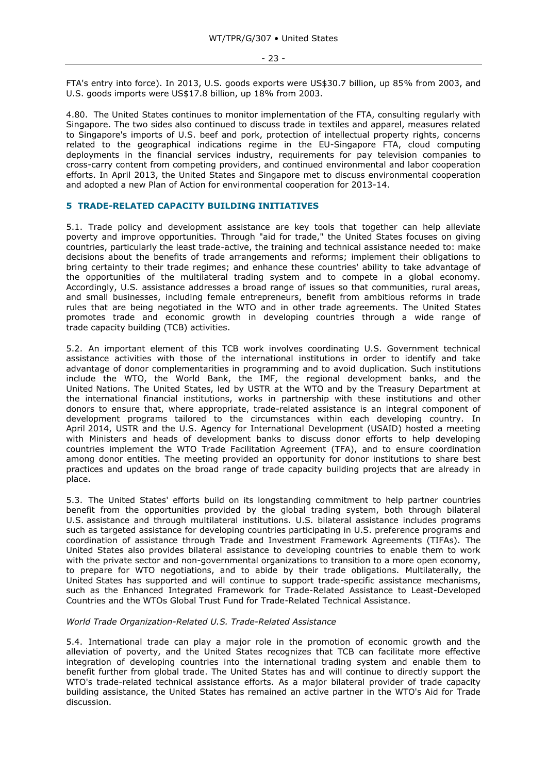FTA's entry into force). In 2013, U.S. goods exports were US\$30.7 billion, up 85% from 2003, and U.S. goods imports were US\$17.8 billion, up 18% from 2003.

4.80. The United States continues to monitor implementation of the FTA, consulting regularly with Singapore. The two sides also continued to discuss trade in textiles and apparel, measures related to Singapore's imports of U.S. beef and pork, protection of intellectual property rights, concerns related to the geographical indications regime in the EU-Singapore FTA, cloud computing deployments in the financial services industry, requirements for pay television companies to cross-carry content from competing providers, and continued environmental and labor cooperation efforts. In April 2013, the United States and Singapore met to discuss environmental cooperation and adopted a new Plan of Action for environmental cooperation for 2013-14.

## <span id="page-22-0"></span>**5 TRADE-RELATED CAPACITY BUILDING INITIATIVES**

5.1. Trade policy and development assistance are key tools that together can help alleviate poverty and improve opportunities. Through "aid for trade," the United States focuses on giving countries, particularly the least trade-active, the training and technical assistance needed to: make decisions about the benefits of trade arrangements and reforms; implement their obligations to bring certainty to their trade regimes; and enhance these countries' ability to take advantage of the opportunities of the multilateral trading system and to compete in a global economy. Accordingly, U.S. assistance addresses a broad range of issues so that communities, rural areas, and small businesses, including female entrepreneurs, benefit from ambitious reforms in trade rules that are being negotiated in the WTO and in other trade agreements. The United States promotes trade and economic growth in developing countries through a wide range of trade capacity building (TCB) activities.

5.2. An important element of this TCB work involves coordinating U.S. Government technical assistance activities with those of the international institutions in order to identify and take advantage of donor complementarities in programming and to avoid duplication. Such institutions include the WTO, the World Bank, the IMF, the regional development banks, and the United Nations. The United States, led by USTR at the WTO and by the Treasury Department at the international financial institutions, works in partnership with these institutions and other donors to ensure that, where appropriate, trade-related assistance is an integral component of development programs tailored to the circumstances within each developing country. In April 2014, USTR and the U.S. Agency for International Development (USAID) hosted a meeting with Ministers and heads of development banks to discuss donor efforts to help developing countries implement the WTO Trade Facilitation Agreement (TFA), and to ensure coordination among donor entities. The meeting provided an opportunity for donor institutions to share best practices and updates on the broad range of trade capacity building projects that are already in place.

5.3. The United States' efforts build on its longstanding commitment to help partner countries benefit from the opportunities provided by the global trading system, both through bilateral U.S. assistance and through multilateral institutions. U.S. bilateral assistance includes programs such as targeted assistance for developing countries participating in U.S. preference programs and coordination of assistance through Trade and Investment Framework Agreements (TIFAs). The United States also provides bilateral assistance to developing countries to enable them to work with the private sector and non-governmental organizations to transition to a more open economy, to prepare for WTO negotiations, and to abide by their trade obligations. Multilaterally, the United States has supported and will continue to support trade-specific assistance mechanisms, such as the Enhanced Integrated Framework for Trade-Related Assistance to Least-Developed Countries and the WTOs Global Trust Fund for Trade-Related Technical Assistance.

### *World Trade Organization-Related U.S. Trade-Related Assistance*

5.4. International trade can play a major role in the promotion of economic growth and the alleviation of poverty, and the United States recognizes that TCB can facilitate more effective integration of developing countries into the international trading system and enable them to benefit further from global trade. The United States has and will continue to directly support the WTO's trade-related technical assistance efforts. As a major bilateral provider of trade capacity building assistance, the United States has remained an active partner in the WTO's Aid for Trade discussion.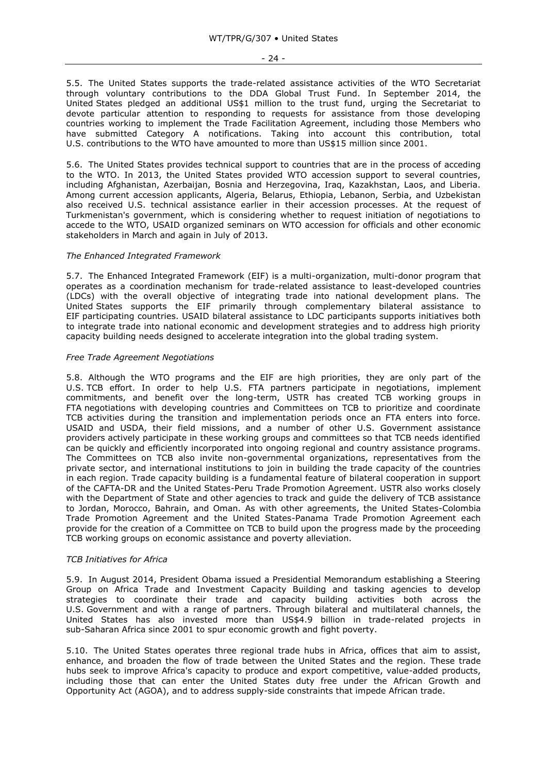- 24 -

5.5. The United States supports the trade-related assistance activities of the WTO Secretariat through voluntary contributions to the DDA Global Trust Fund. In September 2014, the United States pledged an additional US\$1 million to the trust fund, urging the Secretariat to devote particular attention to responding to requests for assistance from those developing countries working to implement the Trade Facilitation Agreement, including those Members who have submitted Category A notifications. Taking into account this contribution, total U.S. contributions to the WTO have amounted to more than US\$15 million since 2001.

5.6. The United States provides technical support to countries that are in the process of acceding to the WTO. In 2013, the United States provided WTO accession support to several countries, including Afghanistan, Azerbaijan, Bosnia and Herzegovina, Iraq, Kazakhstan, Laos, and Liberia. Among current accession applicants, Algeria, Belarus, Ethiopia, Lebanon, Serbia, and Uzbekistan also received U.S. technical assistance earlier in their accession processes. At the request of Turkmenistan's government, which is considering whether to request initiation of negotiations to accede to the WTO, USAID organized seminars on WTO accession for officials and other economic stakeholders in March and again in July of 2013.

#### *The Enhanced Integrated Framework*

5.7. The Enhanced Integrated Framework (EIF) is a multi-organization, multi-donor program that operates as a coordination mechanism for trade-related assistance to least-developed countries (LDCs) with the overall objective of integrating trade into national development plans. The United States supports the EIF primarily through complementary bilateral assistance to EIF participating countries. USAID bilateral assistance to LDC participants supports initiatives both to integrate trade into national economic and development strategies and to address high priority capacity building needs designed to accelerate integration into the global trading system.

## *Free Trade Agreement Negotiations*

5.8. Although the WTO programs and the EIF are high priorities, they are only part of the U.S. TCB effort. In order to help U.S. FTA partners participate in negotiations, implement commitments, and benefit over the long-term, USTR has created TCB working groups in FTA negotiations with developing countries and Committees on TCB to prioritize and coordinate TCB activities during the transition and implementation periods once an FTA enters into force. USAID and USDA, their field missions, and a number of other U.S. Government assistance providers actively participate in these working groups and committees so that TCB needs identified can be quickly and efficiently incorporated into ongoing regional and country assistance programs. The Committees on TCB also invite non-governmental organizations, representatives from the private sector, and international institutions to join in building the trade capacity of the countries in each region. Trade capacity building is a fundamental feature of bilateral cooperation in support of the CAFTA-DR and the United States-Peru Trade Promotion Agreement. USTR also works closely with the Department of State and other agencies to track and guide the delivery of TCB assistance to Jordan, Morocco, Bahrain, and Oman. As with other agreements, the United States-Colombia Trade Promotion Agreement and the United States-Panama Trade Promotion Agreement each provide for the creation of a Committee on TCB to build upon the progress made by the proceeding TCB working groups on economic assistance and poverty alleviation.

#### *TCB Initiatives for Africa*

5.9. In August 2014, President Obama issued a Presidential Memorandum establishing a Steering Group on Africa Trade and Investment Capacity Building and tasking agencies to develop strategies to coordinate their trade and capacity building activities both across the U.S. Government and with a range of partners. Through bilateral and multilateral channels, the United States has also invested more than US\$4.9 billion in trade-related projects in sub-Saharan Africa since 2001 to spur economic growth and fight poverty.

5.10. The United States operates three regional trade hubs in Africa, offices that aim to assist, enhance, and broaden the flow of trade between the United States and the region. These trade hubs seek to improve Africa's capacity to produce and export competitive, value-added products, including those that can enter the United States duty free under the African Growth and Opportunity Act (AGOA), and to address supply-side constraints that impede African trade.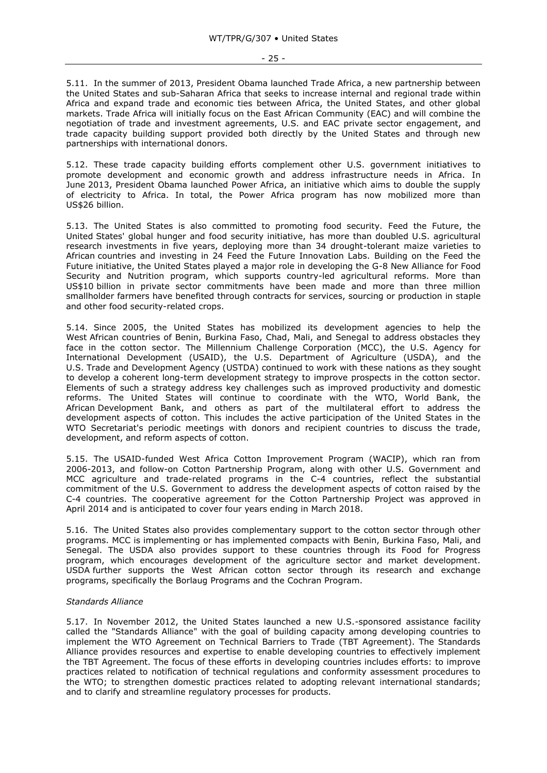- 25 -

5.11. In the summer of 2013, President Obama launched Trade Africa, a new partnership between the United States and sub-Saharan Africa that seeks to increase internal and regional trade within Africa and expand trade and economic ties between Africa, the United States, and other global markets. Trade Africa will initially focus on the East African Community (EAC) and will combine the negotiation of trade and investment agreements, U.S. and EAC private sector engagement, and trade capacity building support provided both directly by the United States and through new partnerships with international donors.

5.12. These trade capacity building efforts complement other U.S. government initiatives to promote development and economic growth and address infrastructure needs in Africa. In June 2013, President Obama launched Power Africa, an initiative which aims to double the supply of electricity to Africa. In total, the Power Africa program has now mobilized more than US\$26 billion.

5.13. The United States is also committed to promoting food security. Feed the Future, the United States' global hunger and food security initiative, has more than doubled U.S. agricultural research investments in five years, deploying more than 34 drought-tolerant maize varieties to African countries and investing in 24 Feed the Future Innovation Labs. Building on the Feed the Future initiative, the United States played a major role in developing the G-8 New Alliance for Food Security and Nutrition program, which supports country-led agricultural reforms. More than US\$10 billion in private sector commitments have been made and more than three million smallholder farmers have benefited through contracts for services, sourcing or production in staple and other food security-related crops.

5.14. Since 2005, the United States has mobilized its development agencies to help the West African countries of Benin, Burkina Faso, Chad, Mali, and Senegal to address obstacles they face in the cotton sector. The Millennium Challenge Corporation (MCC), the U.S. Agency for International Development (USAID), the U.S. Department of Agriculture (USDA), and the U.S. Trade and Development Agency (USTDA) continued to work with these nations as they sought to develop a coherent long-term development strategy to improve prospects in the cotton sector. Elements of such a strategy address key challenges such as improved productivity and domestic reforms. The United States will continue to coordinate with the WTO, World Bank, the African Development Bank, and others as part of the multilateral effort to address the development aspects of cotton. This includes the active participation of the United States in the WTO Secretariat's periodic meetings with donors and recipient countries to discuss the trade, development, and reform aspects of cotton.

5.15. The USAID-funded West Africa Cotton Improvement Program (WACIP), which ran from 2006-2013, and follow-on Cotton Partnership Program, along with other U.S. Government and MCC agriculture and trade-related programs in the C-4 countries, reflect the substantial commitment of the U.S. Government to address the development aspects of cotton raised by the C-4 countries. The cooperative agreement for the Cotton Partnership Project was approved in April 2014 and is anticipated to cover four years ending in March 2018.

5.16. The United States also provides complementary support to the cotton sector through other programs. MCC is implementing or has implemented compacts with Benin, Burkina Faso, Mali, and Senegal. The USDA also provides support to these countries through its Food for Progress program, which encourages development of the agriculture sector and market development. USDA further supports the West African cotton sector through its research and exchange programs, specifically the Borlaug Programs and the Cochran Program.

# *Standards Alliance*

5.17. In November 2012, the United States launched a new U.S.-sponsored assistance facility called the "Standards Alliance" with the goal of building capacity among developing countries to implement the WTO Agreement on Technical Barriers to Trade (TBT Agreement). The Standards Alliance provides resources and expertise to enable developing countries to effectively implement the TBT Agreement. The focus of these efforts in developing countries includes efforts: to improve practices related to notification of technical regulations and conformity assessment procedures to the WTO; to strengthen domestic practices related to adopting relevant international standards; and to clarify and streamline regulatory processes for products.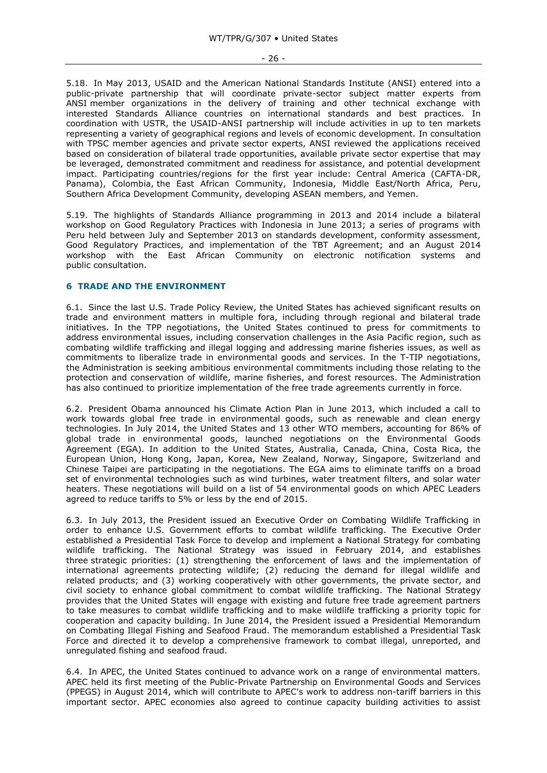5.18. In May 2013, USAID and the American National Standards Institute (ANSI) entered into a public-private partnership that will coordinate private-sector subject matter experts from ANSI member organizations in the delivery of training and other technical exchange with interested Standards Alliance countries on international standards and best practices. In coordination with USTR, the USAID-ANSI partnership will include activities in up to ten markets representing a variety of geographical regions and levels of economic development. In consultation with TPSC member agencies and private sector experts, ANSI reviewed the applications received based on consideration of bilateral trade opportunities, available private sector expertise that may be leveraged, demonstrated commitment and readiness for assistance, and potential development impact. Participating countries/regions for the first year include: Central America (CAFTA-DR, Panama), Colombia, the East African Community, Indonesia, Middle East/North Africa, Peru, Southern Africa Development Community, developing ASEAN members, and Yemen.

5.19. The highlights of Standards Alliance programming in 2013 and 2014 include a bilateral workshop on Good Regulatory Practices with Indonesia in June 2013; a series of programs with Peru held between July and September 2013 on standards development, conformity assessment, Good Regulatory Practices, and implementation of the TBT Agreement; and an August 2014 workshop with the East African Community on electronic notification systems and public consultation.

#### <span id="page-25-0"></span>**6 TRADE AND THE ENVIRONMENT**

6.1. Since the last U.S. Trade Policy Review, the United States has achieved significant results on trade and environment matters in multiple fora, including through regional and bilateral trade initiatives. In the TPP negotiations, the United States continued to press for commitments to address environmental issues, including conservation challenges in the Asia Pacific region, such as combating wildlife trafficking and illegal logging and addressing marine fisheries issues, as well as commitments to liberalize trade in environmental goods and services. In the T-TIP negotiations, the Administration is seeking ambitious environmental commitments including those relating to the protection and conservation of wildlife, marine fisheries, and forest resources. The Administration has also continued to prioritize implementation of the free trade agreements currently in force.

6.2. President Obama announced his Climate Action Plan in June 2013, which included a call to work towards global free trade in environmental goods, such as renewable and clean energy technologies. In July 2014, the United States and 13 other WTO members, accounting for 86% of global trade in environmental goods, launched negotiations on the Environmental Goods Agreement (EGA). In addition to the United States, Australia, Canada, China, Costa Rica, the European Union, Hong Kong, Japan, Korea, New Zealand, Norway, Singapore, Switzerland and Chinese Taipei are participating in the negotiations. The EGA aims to eliminate tariffs on a broad set of environmental technologies such as wind turbines, water treatment filters, and solar water heaters. These negotiations will build on a list of 54 environmental goods on which APEC Leaders agreed to reduce tariffs to 5% or less by the end of 2015.

6.3. In July 2013, the President issued an Executive Order on Combating Wildlife Trafficking in order to enhance U.S. Government efforts to combat wildlife trafficking. The Executive Order established a Presidential Task Force to develop and implement a National Strategy for combating wildlife trafficking. The National Strategy was issued in February 2014, and establishes three strategic priorities: (1) strengthening the enforcement of laws and the implementation of international agreements protecting wildlife; (2) reducing the demand for illegal wildlife and related products; and (3) working cooperatively with other governments, the private sector, and civil society to enhance global commitment to combat wildlife trafficking. The National Strategy provides that the United States will engage with existing and future free trade agreement partners to take measures to combat wildlife trafficking and to make wildlife trafficking a priority topic for cooperation and capacity building. In June 2014, the President issued a Presidential Memorandum on Combating Illegal Fishing and Seafood Fraud. The memorandum established a Presidential Task Force and directed it to develop a comprehensive framework to combat illegal, unreported, and unregulated fishing and seafood fraud.

6.4. In APEC, the United States continued to advance work on a range of environmental matters. APEC held its first meeting of the Public-Private Partnership on Environmental Goods and Services (PPEGS) in August 2014, which will contribute to APEC's work to address non-tariff barriers in this important sector. APEC economies also agreed to continue capacity building activities to assist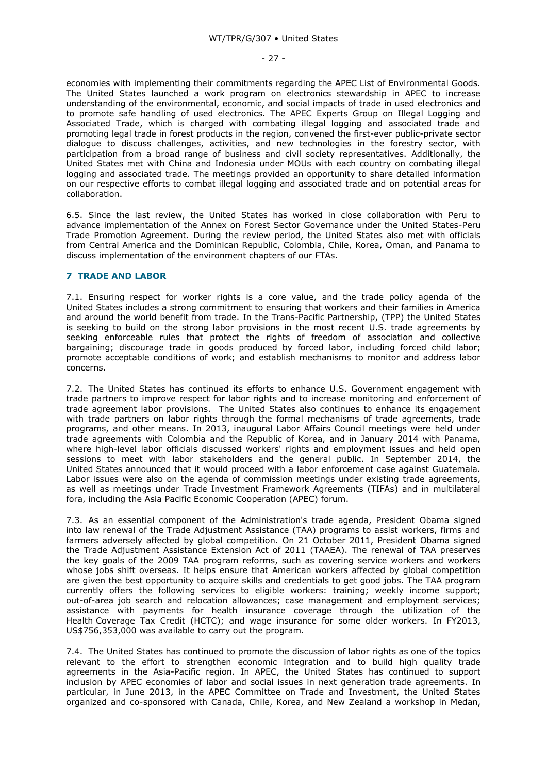economies with implementing their commitments regarding the APEC List of Environmental Goods. The United States launched a work program on electronics stewardship in APEC to increase understanding of the environmental, economic, and social impacts of trade in used electronics and to promote safe handling of used electronics. The APEC Experts Group on Illegal Logging and Associated Trade, which is charged with combating illegal logging and associated trade and promoting legal trade in forest products in the region, convened the first-ever public-private sector dialogue to discuss challenges, activities, and new technologies in the forestry sector, with participation from a broad range of business and civil society representatives. Additionally, the United States met with China and Indonesia under MOUs with each country on combating illegal logging and associated trade. The meetings provided an opportunity to share detailed information on our respective efforts to combat illegal logging and associated trade and on potential areas for collaboration.

6.5. Since the last review, the United States has worked in close collaboration with Peru to advance implementation of the Annex on Forest Sector Governance under the United States-Peru Trade Promotion Agreement. During the review period, the United States also met with officials from Central America and the Dominican Republic, Colombia, Chile, Korea, Oman, and Panama to discuss implementation of the environment chapters of our FTAs.

# <span id="page-26-0"></span>**7 TRADE AND LABOR**

7.1. Ensuring respect for worker rights is a core value, and the trade policy agenda of the United States includes a strong commitment to ensuring that workers and their families in America and around the world benefit from trade. In the Trans-Pacific Partnership, (TPP) the United States is seeking to build on the strong labor provisions in the most recent U.S. trade agreements by seeking enforceable rules that protect the rights of freedom of association and collective bargaining; discourage trade in goods produced by forced labor, including forced child labor; promote acceptable conditions of work; and establish mechanisms to monitor and address labor concerns.

7.2. The United States has continued its efforts to enhance U.S. Government engagement with trade partners to improve respect for labor rights and to increase monitoring and enforcement of trade agreement labor provisions. The United States also continues to enhance its engagement with trade partners on labor rights through the formal mechanisms of trade agreements, trade programs, and other means. In 2013, inaugural Labor Affairs Council meetings were held under trade agreements with Colombia and the Republic of Korea, and in January 2014 with Panama, where high-level labor officials discussed workers' rights and employment issues and held open sessions to meet with labor stakeholders and the general public. In September 2014, the United States announced that it would proceed with a labor enforcement case against Guatemala. Labor issues were also on the agenda of commission meetings under existing trade agreements, as well as meetings under Trade Investment Framework Agreements (TIFAs) and in multilateral fora, including the Asia Pacific Economic Cooperation (APEC) forum.

7.3. As an essential component of the Administration's trade agenda, President Obama signed into law renewal of the Trade Adjustment Assistance (TAA) programs to assist workers, firms and farmers adversely affected by global competition. On 21 October 2011, President Obama signed the Trade Adjustment Assistance Extension Act of 2011 (TAAEA). The renewal of TAA preserves the key goals of the 2009 TAA program reforms, such as covering service workers and workers whose jobs shift overseas. It helps ensure that American workers affected by global competition are given the best opportunity to acquire skills and credentials to get good jobs. The TAA program currently offers the following services to eligible workers: training; weekly income support; out-of-area job search and relocation allowances; case management and employment services; assistance with payments for health insurance coverage through the utilization of the Health Coverage Tax Credit (HCTC); and wage insurance for some older workers. In FY2013, US\$756,353,000 was available to carry out the program.

7.4. The United States has continued to promote the discussion of labor rights as one of the topics relevant to the effort to strengthen economic integration and to build high quality trade agreements in the Asia-Pacific region. In APEC, the United States has continued to support inclusion by APEC economies of labor and social issues in next generation trade agreements. In particular, in June 2013, in the APEC Committee on Trade and Investment, the United States organized and co-sponsored with Canada, Chile, Korea, and New Zealand a workshop in Medan,